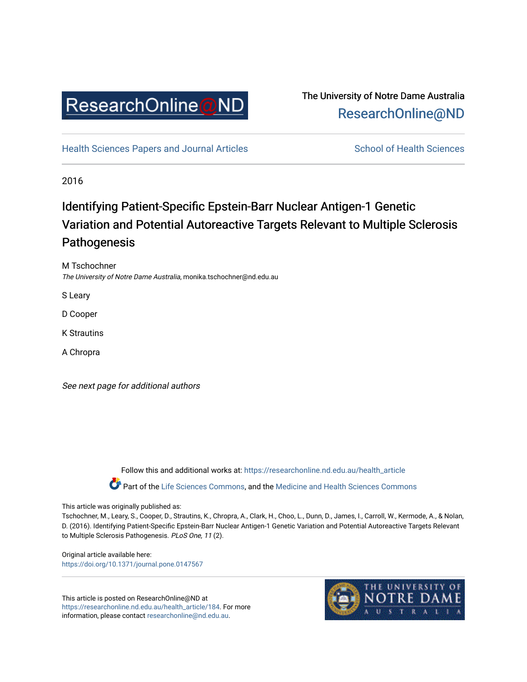

### The University of Notre Dame Australia [ResearchOnline@ND](https://researchonline.nd.edu.au/)

[Health Sciences Papers and Journal Articles](https://researchonline.nd.edu.au/health_article) School of Health Sciences

2016

# Identifying Patient-Specific Epstein-Barr Nuclear Antigen-1 Genetic Variation and Potential Autoreactive Targets Relevant to Multiple Sclerosis Pathogenesis

M Tschochner The University of Notre Dame Australia, monika.tschochner@nd.edu.au

S Leary

D Cooper

K Strautins

A Chropra

See next page for additional authors

Follow this and additional works at: [https://researchonline.nd.edu.au/health\\_article](https://researchonline.nd.edu.au/health_article?utm_source=researchonline.nd.edu.au%2Fhealth_article%2F184&utm_medium=PDF&utm_campaign=PDFCoverPages)

Part of the [Life Sciences Commons](http://network.bepress.com/hgg/discipline/1016?utm_source=researchonline.nd.edu.au%2Fhealth_article%2F184&utm_medium=PDF&utm_campaign=PDFCoverPages), and the Medicine and Health Sciences Commons

This article was originally published as:

Tschochner, M., Leary, S., Cooper, D., Strautins, K., Chropra, A., Clark, H., Choo, L., Dunn, D., James, I., Carroll, W., Kermode, A., & Nolan, D. (2016). Identifying Patient-Specific Epstein-Barr Nuclear Antigen-1 Genetic Variation and Potential Autoreactive Targets Relevant to Multiple Sclerosis Pathogenesis. PLoS One, 11 (2).

Original article available here: <https://doi.org/10.1371/journal.pone.0147567>

This article is posted on ResearchOnline@ND at [https://researchonline.nd.edu.au/health\\_article/184](https://researchonline.nd.edu.au/health_article/184). For more information, please contact [researchonline@nd.edu.au.](mailto:researchonline@nd.edu.au)

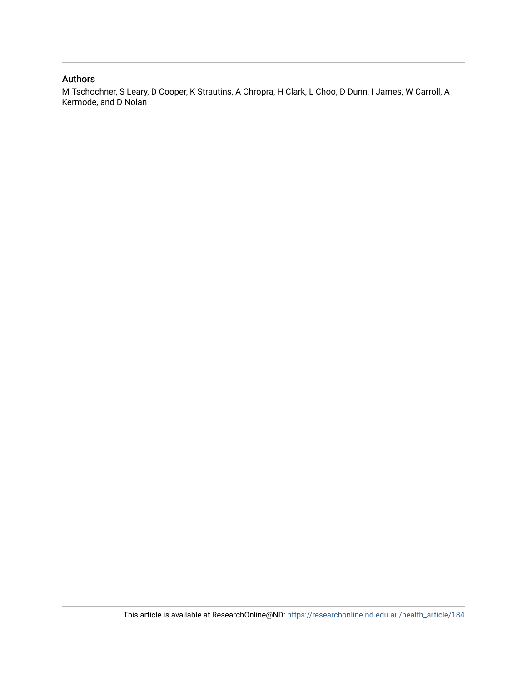#### Authors

M Tschochner, S Leary, D Cooper, K Strautins, A Chropra, H Clark, L Choo, D Dunn, I James, W Carroll, A Kermode, and D Nolan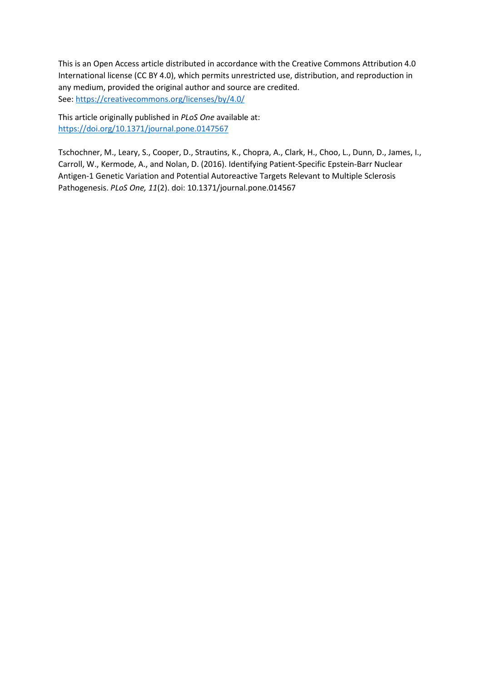This is an Open Access article distributed in accordance with the Creative Commons Attribution 4.0 International license (CC BY 4.0), which permits unrestricted use, distribution, and reproduction in any medium, provided the original author and source are credited. See[: https://creativecommons.org/licenses/by/4.0/](https://creativecommons.org/licenses/by/4.0/) 

This article originally published in *PLoS One* available at: <https://doi.org/10.1371/journal.pone.0147567>

Tschochner, M., Leary, S., Cooper, D., Strautins, K., Chopra, A., Clark, H., Choo, L., Dunn, D., James, I., Carroll, W., Kermode, A., and Nolan, D. (2016). Identifying Patient-Specific Epstein-Barr Nuclear Antigen-1 Genetic Variation and Potential Autoreactive Targets Relevant to Multiple Sclerosis Pathogenesis. *PLoS One, 11*(2). doi: 10.1371/journal.pone.014567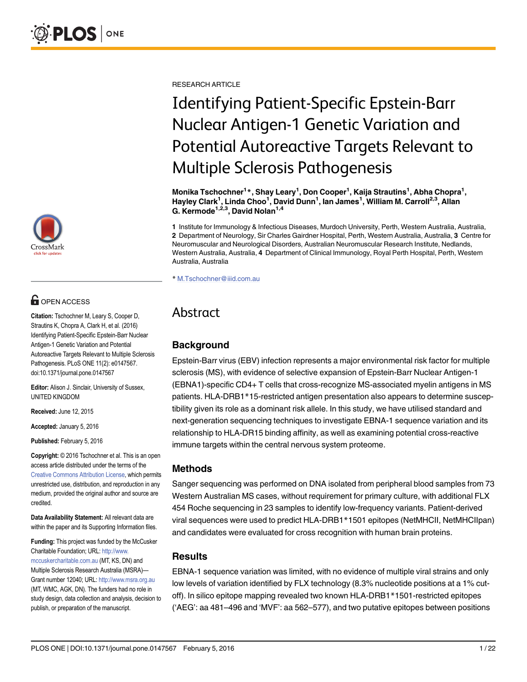

# **OPEN ACCESS**

Citation: Tschochner M, Leary S, Cooper D, Strautins K, Chopra A, Clark H, et al. (2016) Identifying Patient-Specific Epstein-Barr Nuclear Antigen-1 Genetic Variation and Potential Autoreactive Targets Relevant to Multiple Sclerosis Pathogenesis. PLoS ONE 11(2): e0147567. doi:10.1371/journal.pone.0147567

Editor: Alison J. Sinclair, University of Sussex, UNITED KINGDOM

Received: June 12, 2015

Accepted: January 5, 2016

Published: February 5, 2016

Copyright: © 2016 Tschochner et al. This is an open access article distributed under the terms of the [Creative Commons Attribution License,](http://creativecommons.org/licenses/by/4.0/) which permits unrestricted use, distribution, and reproduction in any medium, provided the original author and source are credited.

Data Availability Statement: All relevant data are within the paper and its Supporting Information files.

Funding: This project was funded by the McCusker Charitable Foundation; URL: [http://www.](http://www.mccuskercharitable.com.au) [mccuskercharitable.com.au](http://www.mccuskercharitable.com.au) (MT, KS, DN) and Multiple Sclerosis Research Australia (MSRA)— Grant number 12040; URL: <http://www.msra.org.au> (MT, WMC, AGK, DN). The funders had no role in study design, data collection and analysis, decision to publish, or preparation of the manuscript.

RESEARCH ARTICLE

# Identifying Patient-Specific Epstein-Barr Nuclear Antigen-1 Genetic Variation and Potential Autoreactive Targets Relevant to Multiple Sclerosis Pathogenesis

Monika Tschochner<sup>1</sup>\*, Shay Leary<sup>1</sup>, Don Cooper<sup>1</sup>, Kaija Strautins<sup>1</sup>, Abha Chopra<sup>1</sup>, Hayley Clark<sup>1</sup>, Linda Choo<sup>1</sup>, David Dunn<sup>1</sup>, Ian James<sup>1</sup>, William M. Carroll<sup>2,3</sup>, Allan G. Kermode<sup>1,2,3</sup>, David Nolan<sup>1,4</sup>

1 Institute for Immunology & Infectious Diseases, Murdoch University, Perth, Western Australia, Australia, 2 Department of Neurology, Sir Charles Gairdner Hospital, Perth, Western Australia, Australia, 3 Centre for Neuromuscular and Neurological Disorders, Australian Neuromuscular Research Institute, Nedlands, Western Australia, Australia, 4 Department of Clinical Immunology, Royal Perth Hospital, Perth, Western Australia, Australia

\* M.Tschochner@iiid.com.au

## Abstract

#### **Background**

Epstein-Barr virus (EBV) infection represents a major environmental risk factor for multiple sclerosis (MS), with evidence of selective expansion of Epstein-Barr Nuclear Antigen-1 (EBNA1)-specific CD4+ T cells that cross-recognize MS-associated myelin antigens in MS patients. HLA-DRB1\*15-restricted antigen presentation also appears to determine susceptibility given its role as a dominant risk allele. In this study, we have utilised standard and next-generation sequencing techniques to investigate EBNA-1 sequence variation and its relationship to HLA-DR15 binding affinity, as well as examining potential cross-reactive immune targets within the central nervous system proteome.

#### Methods

Sanger sequencing was performed on DNA isolated from peripheral blood samples from 73 Western Australian MS cases, without requirement for primary culture, with additional FLX 454 Roche sequencing in 23 samples to identify low-frequency variants. Patient-derived viral sequences were used to predict HLA-DRB1\*1501 epitopes (NetMHCII, NetMHCIIpan) and candidates were evaluated for cross recognition with human brain proteins.

#### Results

EBNA-1 sequence variation was limited, with no evidence of multiple viral strains and only low levels of variation identified by FLX technology (8.3% nucleotide positions at a 1% cutoff). In silico epitope mapping revealed two known HLA-DRB1\*1501-restricted epitopes ('AEG': aa 481–496 and 'MVF': aa 562–577), and two putative epitopes between positions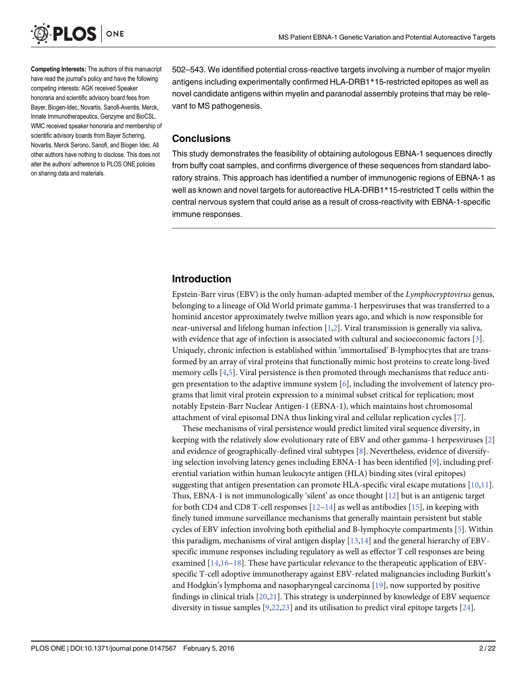<span id="page-4-0"></span>

Competing Interests: The authors of this manuscript have read the journal's policy and have the following competing interests: AGK received Speaker honoraria and scientific advisory board fees from Bayer, Biogen-Idec, Novartis, Sanofi-Aventis, Merck, Innate Immunotherapeutics, Genzyme and BioCSL. WMC received speaker honoraria and membership of scientific advisory boards from Bayer Schering, Novartis, Merck Serono, Sanofi, and Biogen Idec. All other authors have nothing to disclose. This does not alter the authors' adherence to PLOS ONE policies on sharing data and materials.

502–543. We identified potential cross-reactive targets involving a number of major myelin antigens including experimentally confirmed HLA-DRB1\*15-restricted epitopes as well as novel candidate antigens within myelin and paranodal assembly proteins that may be relevant to MS pathogenesis.

#### **Conclusions**

This study demonstrates the feasibility of obtaining autologous EBNA-1 sequences directly from buffy coat samples, and confirms divergence of these sequences from standard laboratory strains. This approach has identified a number of immunogenic regions of EBNA-1 as well as known and novel targets for autoreactive HLA-DRB1\*15-restricted T cells within the central nervous system that could arise as a result of cross-reactivity with EBNA-1-specific immune responses.

#### Introduction

Epstein-Barr virus (EBV) is the only human-adapted member of the Lymphocryptovirus genus, belonging to a lineage of Old World primate gamma-1 herpesviruses that was transferred to a hominid ancestor approximately twelve million years ago, and which is now responsible for near-universal and lifelong human infection [\[1](#page-20-0)[,2](#page-21-0)]. Viral transmission is generally via saliva, with evidence that age of infection is associated with cultural and socioeconomic factors [\[3](#page-21-0)]. Uniquely, chronic infection is established within 'immortalised' B-lymphocytes that are transformed by an array of viral proteins that functionally mimic host proteins to create long-lived memory cells [[4,5](#page-21-0)]. Viral persistence is then promoted through mechanisms that reduce antigen presentation to the adaptive immune system  $[6]$  $[6]$ , including the involvement of latency programs that limit viral protein expression to a minimal subset critical for replication; most notably Epstein-Barr Nuclear Antigen-1 (EBNA-1), which maintains host chromosomal attachment of viral episomal DNA thus linking viral and cellular replication cycles [[7\]](#page-21-0).

These mechanisms of viral persistence would predict limited viral sequence diversity, in keeping with the relatively slow evolutionary rate of EBV and other gamma-1 herpesviruses [\[2\]](#page-21-0) and evidence of geographically-defined viral subtypes [\[8](#page-21-0)]. Nevertheless, evidence of diversifying selection involving latency genes including EBNA-1 has been identified [\[9](#page-21-0)], including preferential variation within human leukocyte antigen (HLA) binding sites (viral epitopes) suggesting that antigen presentation can promote HLA-specific viral escape mutations  $[10,11]$  $[10,11]$ . Thus, EBNA-1 is not immunologically 'silent' as once thought [[12\]](#page-21-0) but is an antigenic target for both CD4 and CD8 T-cell responses  $[12-14]$  $[12-14]$  $[12-14]$  $[12-14]$  $[12-14]$  as well as antibodies [\[15\]](#page-21-0), in keeping with finely tuned immune surveillance mechanisms that generally maintain persistent but stable cycles of EBV infection involving both epithelial and B-lymphocyte compartments [[5](#page-21-0)]. Within this paradigm, mechanisms of viral antigen display  $[13,14]$  $[13,14]$  $[13,14]$  $[13,14]$  $[13,14]$  and the general hierarchy of EBVspecific immune responses including regulatory as well as effector T cell responses are being examined [\[14,16](#page-21-0)–[18\]](#page-21-0). These have particular relevance to the therapeutic application of EBVspecific T-cell adoptive immunotherapy against EBV-related malignancies including Burkitt's and Hodgkin's lymphoma and nasopharyngeal carcinoma [[19](#page-21-0)], now supported by positive findings in clinical trials [[20](#page-21-0),[21](#page-21-0)]. This strategy is underpinned by knowledge of EBV sequence diversity in tissue samples  $[9,22,23]$  $[9,22,23]$  and its utilisation to predict viral epitope targets  $[24]$  $[24]$ .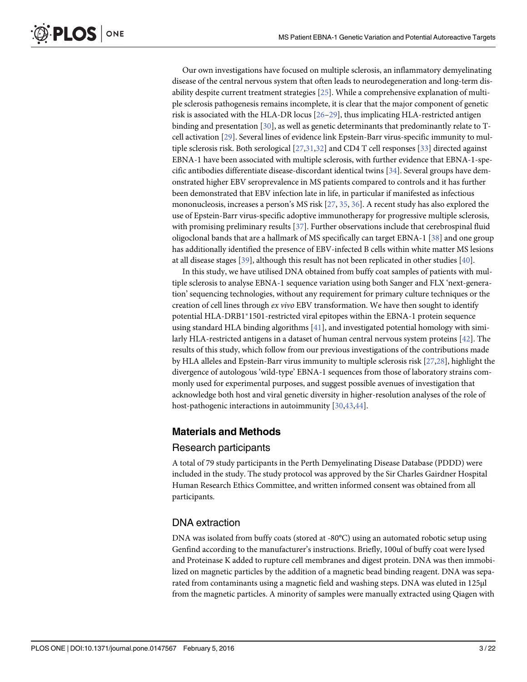Our own investigations have focused on multiple sclerosis, an inflammatory demyelinating disease of the central nervous system that often leads to neurodegeneration and long-term disability despite current treatment strategies [\[25\]](#page-22-0). While a comprehensive explanation of multiple sclerosis pathogenesis remains incomplete, it is clear that the major component of genetic risk is associated with the HLA-DR locus [[26](#page-22-0)–[29](#page-22-0)], thus implicating HLA-restricted antigen binding and presentation  $[30]$  $[30]$  $[30]$ , as well as genetic determinants that predominantly relate to Tcell activation [\[29\]](#page-22-0). Several lines of evidence link Epstein-Barr virus-specific immunity to multiple sclerosis risk. Both serological [\[27,31,32\]](#page-22-0) and CD4 T cell responses [\[33\]](#page-22-0) directed against EBNA-1 have been associated with multiple sclerosis, with further evidence that EBNA-1-specific antibodies differentiate disease-discordant identical twins [[34](#page-22-0)]. Several groups have demonstrated higher EBV seroprevalence in MS patients compared to controls and it has further been demonstrated that EBV infection late in life, in particular if manifested as infectious mononucleosis, increases a person's MS risk [\[27,](#page-22-0) [35,](#page-22-0) [36\]](#page-22-0). A recent study has also explored the use of Epstein-Barr virus-specific adoptive immunotherapy for progressive multiple sclerosis, with promising preliminary results [[37](#page-22-0)]. Further observations include that cerebrospinal fluid oligoclonal bands that are a hallmark of MS specifically can target EBNA-1 [\[38\]](#page-22-0) and one group has additionally identified the presence of EBV-infected B cells within white matter MS lesions at all disease stages [\[39\]](#page-22-0), although this result has not been replicated in other studies [[40](#page-22-0)].

In this study, we have utilised DNA obtained from buffy coat samples of patients with multiple sclerosis to analyse EBNA-1 sequence variation using both Sanger and FLX 'next-generation' sequencing technologies, without any requirement for primary culture techniques or the creation of cell lines through ex vivo EBV transformation. We have then sought to identify potential HLA-DRB1\*1501-restricted viral epitopes within the EBNA-1 protein sequence using standard HLA binding algorithms [\[41\]](#page-22-0), and investigated potential homology with similarly HLA-restricted antigens in a dataset of human central nervous system proteins [\[42\]](#page-23-0). The results of this study, which follow from our previous investigations of the contributions made by HLA alleles and Epstein-Barr virus immunity to multiple sclerosis risk [\[27,28\]](#page-22-0), highlight the divergence of autologous 'wild-type' EBNA-1 sequences from those of laboratory strains commonly used for experimental purposes, and suggest possible avenues of investigation that acknowledge both host and viral genetic diversity in higher-resolution analyses of the role of host-pathogenic interactions in autoimmunity [\[30,](#page-22-0)[43,44](#page-23-0)].

#### Materials and Methods

#### Research participants

A total of 79 study participants in the Perth Demyelinating Disease Database (PDDD) were included in the study. The study protocol was approved by the Sir Charles Gairdner Hospital Human Research Ethics Committee, and written informed consent was obtained from all participants.

#### DNA extraction

DNA was isolated from buffy coats (stored at -80°C) using an automated robotic setup using Genfind according to the manufacturer's instructions. Briefly, 100ul of buffy coat were lysed and Proteinase K added to rupture cell membranes and digest protein. DNA was then immobilized on magnetic particles by the addition of a magnetic bead binding reagent. DNA was separated from contaminants using a magnetic field and washing steps. DNA was eluted in 125μl from the magnetic particles. A minority of samples were manually extracted using Qiagen with

<span id="page-5-0"></span>**PLOS I** 

ONE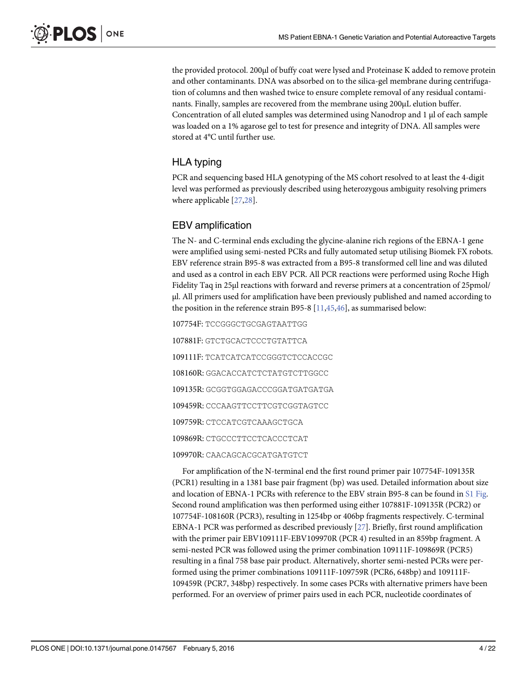<span id="page-6-0"></span>the provided protocol. 200μl of buffy coat were lysed and Proteinase K added to remove protein and other contaminants. DNA was absorbed on to the silica-gel membrane during centrifugation of columns and then washed twice to ensure complete removal of any residual contaminants. Finally, samples are recovered from the membrane using 200μL elution buffer. Concentration of all eluted samples was determined using Nanodrop and 1 μl of each sample was loaded on a 1% agarose gel to test for presence and integrity of DNA. All samples were stored at 4°C until further use.

#### HLA typing

PCR and sequencing based HLA genotyping of the MS cohort resolved to at least the 4-digit level was performed as previously described using heterozygous ambiguity resolving primers where applicable [\[27,28](#page-22-0)].

#### EBV amplification

The N- and C-terminal ends excluding the glycine-alanine rich regions of the EBNA-1 gene were amplified using semi-nested PCRs and fully automated setup utilising Biomek FX robots. EBV reference strain B95-8 was extracted from a B95-8 transformed cell line and was diluted and used as a control in each EBV PCR. All PCR reactions were performed using Roche High Fidelity Taq in 25μl reactions with forward and reverse primers at a concentration of 25pmol/ μl. All primers used for amplification have been previously published and named according to the position in the reference strain B95-8  $[11, 45, 46]$  $[11, 45, 46]$ , as summarised below:

107754F: TCCGGGCTGCGAGTAATTGG

107881F: GTCTGCACTCCCTGTATTCA 109111F: TCATCATCATCCGGGTCTCCACCGC 108160R: GGACACCATCTCTATGTCTTGGCC 109135R: GCGGTGGAGACCCGGATGATGATGA 109459R: CCCAAGTTCCTTCGTCGGTAGTCC 109759R: CTCCATCGTCAAAGCTGCA 109869R: CTGCCCTTCCTCACCCTCAT 109970R: CAACAGCACGCATGATGTCT

For amplification of the N-terminal end the first round primer pair 107754F-109135R (PCR1) resulting in a 1381 base pair fragment (bp) was used. Detailed information about size and location of EBNA-1 PCRs with reference to the EBV strain B95-8 can be found in [S1 Fig](#page-20-0). Second round amplification was then performed using either 107881F-109135R (PCR2) or 107754F-108160R (PCR3), resulting in 1254bp or 406bp fragments respectively. C-terminal EBNA-1 PCR was performed as described previously [\[27\]](#page-22-0). Briefly, first round amplification with the primer pair EBV109111F-EBV109970R (PCR 4) resulted in an 859bp fragment. A semi-nested PCR was followed using the primer combination 109111F-109869R (PCR5) resulting in a final 758 base pair product. Alternatively, shorter semi-nested PCRs were performed using the primer combinations 109111F-109759R (PCR6, 648bp) and 109111F-109459R (PCR7, 348bp) respectively. In some cases PCRs with alternative primers have been performed. For an overview of primer pairs used in each PCR, nucleotide coordinates of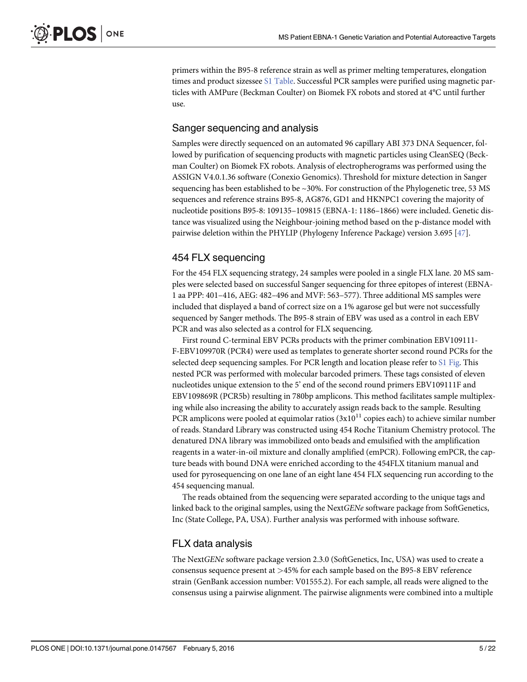<span id="page-7-0"></span>primers within the B95-8 reference strain as well as primer melting temperatures, elongation times and product sizessee [S1 Table.](#page-20-0) Successful PCR samples were purified using magnetic particles with AMPure (Beckman Coulter) on Biomek FX robots and stored at 4°C until further use.

#### Sanger sequencing and analysis

Samples were directly sequenced on an automated 96 capillary ABI 373 DNA Sequencer, followed by purification of sequencing products with magnetic particles using CleanSEQ (Beckman Coulter) on Biomek FX robots. Analysis of electropherograms was performed using the ASSIGN V4.0.1.36 software (Conexio Genomics). Threshold for mixture detection in Sanger sequencing has been established to be  $\sim$ 30%. For construction of the Phylogenetic tree, 53 MS sequences and reference strains B95-8, AG876, GD1 and HKNPC1 covering the majority of nucleotide positions B95-8: 109135–109815 (EBNA-1: 1186–1866) were included. Genetic distance was visualized using the Neighbour-joining method based on the p-distance model with pairwise deletion within the PHYLIP (Phylogeny Inference Package) version 3.695 [\[47](#page-23-0)].

#### 454 FLX sequencing

For the 454 FLX sequencing strategy, 24 samples were pooled in a single FLX lane. 20 MS samples were selected based on successful Sanger sequencing for three epitopes of interest (EBNA-1 aa PPP: 401–416, AEG: 482–496 and MVF: 563–577). Three additional MS samples were included that displayed a band of correct size on a 1% agarose gel but were not successfully sequenced by Sanger methods. The B95-8 strain of EBV was used as a control in each EBV PCR and was also selected as a control for FLX sequencing.

First round C-terminal EBV PCRs products with the primer combination EBV109111- F-EBV109970R (PCR4) were used as templates to generate shorter second round PCRs for the selected deep sequencing samples. For PCR length and location please refer to  $S1$  Fig. This nested PCR was performed with molecular barcoded primers. These tags consisted of eleven nucleotides unique extension to the 5' end of the second round primers EBV109111F and EBV109869R (PCR5b) resulting in 780bp amplicons. This method facilitates sample multiplexing while also increasing the ability to accurately assign reads back to the sample. Resulting PCR amplicons were pooled at equimolar ratios  $(3x10^{11}$  copies each) to achieve similar number of reads. Standard Library was constructed using 454 Roche Titanium Chemistry protocol. The denatured DNA library was immobilized onto beads and emulsified with the amplification reagents in a water-in-oil mixture and clonally amplified (emPCR). Following emPCR, the capture beads with bound DNA were enriched according to the 454FLX titanium manual and used for pyrosequencing on one lane of an eight lane 454 FLX sequencing run according to the 454 sequencing manual.

The reads obtained from the sequencing were separated according to the unique tags and linked back to the original samples, using the NextGENe software package from SoftGenetics, Inc (State College, PA, USA). Further analysis was performed with inhouse software.

#### FLX data analysis

The NextGENe software package version 2.3.0 (SoftGenetics, Inc, USA) was used to create a consensus sequence present at >45% for each sample based on the B95-8 EBV reference strain (GenBank accession number: V01555.2). For each sample, all reads were aligned to the consensus using a pairwise alignment. The pairwise alignments were combined into a multiple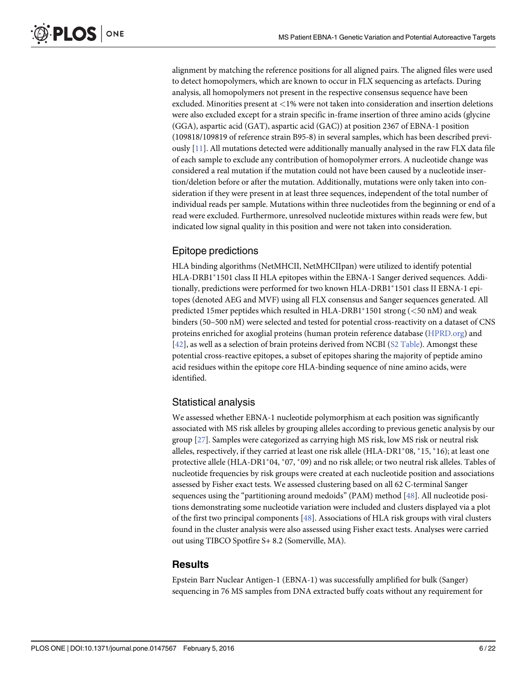<span id="page-8-0"></span>alignment by matching the reference positions for all aligned pairs. The aligned files were used to detect homopolymers, which are known to occur in FLX sequencing as artefacts. During analysis, all homopolymers not present in the respective consensus sequence have been excluded. Minorities present at <1% were not taken into consideration and insertion deletions were also excluded except for a strain specific in-frame insertion of three amino acids (glycine (GGA), aspartic acid (GAT), aspartic acid (GAC)) at position 2367 of EBNA-1 position (109818/109819 of reference strain B95-8) in several samples, which has been described previously [[11](#page-21-0)]. All mutations detected were additionally manually analysed in the raw FLX data file of each sample to exclude any contribution of homopolymer errors. A nucleotide change was considered a real mutation if the mutation could not have been caused by a nucleotide insertion/deletion before or after the mutation. Additionally, mutations were only taken into consideration if they were present in at least three sequences, independent of the total number of individual reads per sample. Mutations within three nucleotides from the beginning or end of a read were excluded. Furthermore, unresolved nucleotide mixtures within reads were few, but indicated low signal quality in this position and were not taken into consideration.

#### Epitope predictions

HLA binding algorithms (NetMHCII, NetMHCIIpan) were utilized to identify potential HLA-DRB1\*1501 class II HLA epitopes within the EBNA-1 Sanger derived sequences. Additionally, predictions were performed for two known HLA-DRB1<sup>\*</sup>1501 class II EBNA-1 epitopes (denoted AEG and MVF) using all FLX consensus and Sanger sequences generated. All predicted 15mer peptides which resulted in HLA-DRB1\*1501 strong ( $\lt$ 50 nM) and weak binders (50–500 nM) were selected and tested for potential cross-reactivity on a dataset of CNS proteins enriched for axoglial proteins (human protein reference database [\(HPRD.org](http://HPRD.org)) and [\[42](#page-23-0)], as well as a selection of brain proteins derived from NCBI ([S2 Table\)](#page-20-0). Amongst these potential cross-reactive epitopes, a subset of epitopes sharing the majority of peptide amino acid residues within the epitope core HLA-binding sequence of nine amino acids, were identified.

#### Statistical analysis

We assessed whether EBNA-1 nucleotide polymorphism at each position was significantly associated with MS risk alleles by grouping alleles according to previous genetic analysis by our group [\[27\]](#page-22-0). Samples were categorized as carrying high MS risk, low MS risk or neutral risk alleles, respectively, if they carried at least one risk allele  $(HLA-DRI*08, *15, *16)$ ; at least one protective allele (HLA-DR1\*04, \*07, \*09) and no risk allele; or two neutral risk alleles. Tables of nucleotide frequencies by risk groups were created at each nucleotide position and associations assessed by Fisher exact tests. We assessed clustering based on all 62 C-terminal Sanger sequences using the "partitioning around medoids" (PAM) method [\[48\]](#page-23-0). All nucleotide positions demonstrating some nucleotide variation were included and clusters displayed via a plot of the first two principal components  $[48]$  $[48]$  $[48]$ . Associations of HLA risk groups with viral clusters found in the cluster analysis were also assessed using Fisher exact tests. Analyses were carried out using TIBCO Spotfire S+ 8.2 (Somerville, MA).

#### **Results**

Epstein Barr Nuclear Antigen-1 (EBNA-1) was successfully amplified for bulk (Sanger) sequencing in 76 MS samples from DNA extracted buffy coats without any requirement for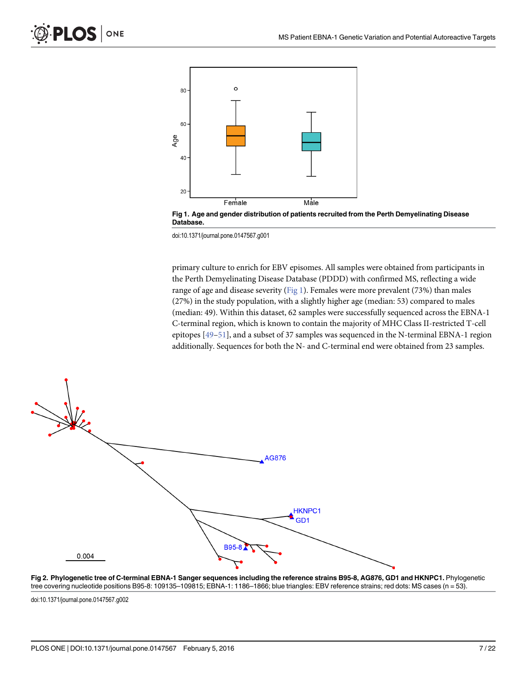<span id="page-9-0"></span>

Fig 1. Age and gender distribution of patients recruited from the Perth Demyelinating Disease Database.

doi:10.1371/journal.pone.0147567.g001

primary culture to enrich for EBV episomes. All samples were obtained from participants in the Perth Demyelinating Disease Database (PDDD) with confirmed MS, reflecting a wide range of age and disease severity ( $Fig 1$ ). Females were more prevalent (73%) than males (27%) in the study population, with a slightly higher age (median: 53) compared to males (median: 49). Within this dataset, 62 samples were successfully sequenced across the EBNA-1 C-terminal region, which is known to contain the majority of MHC Class II-restricted T-cell epitopes [[49](#page-23-0)–[51\]](#page-23-0), and a subset of 37 samples was sequenced in the N-terminal EBNA-1 region additionally. Sequences for both the N- and C-terminal end were obtained from 23 samples.



[Fig 2. P](#page-10-0)hylogenetic tree of C-terminal EBNA-1 Sanger sequences including the reference strains B95-8, AG876, GD1 and HKNPC1. Phylogenetic tree covering nucleotide positions B95-8: 109135–109815; EBNA-1: 1186–1866; blue triangles: EBV reference strains; red dots: MS cases (n = 53).

doi:10.1371/journal.pone.0147567.g002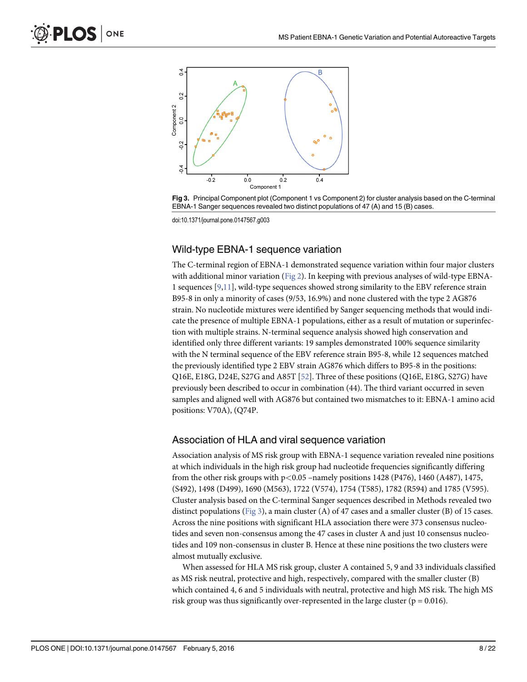<span id="page-10-0"></span>

Fig 3. Principal Component plot (Component 1 vs Component 2) for cluster analysis based on the C-terminal EBNA-1 Sanger sequences revealed two distinct populations of 47 (A) and 15 (B) cases.

doi:10.1371/journal.pone.0147567.g003

#### Wild-type EBNA-1 sequence variation

The C-terminal region of EBNA-1 demonstrated sequence variation within four major clusters with additional minor variation ([Fig 2](#page-9-0)). In keeping with previous analyses of wild-type EBNA-1 sequences [\[9,11\]](#page-21-0), wild-type sequences showed strong similarity to the EBV reference strain B95-8 in only a minority of cases (9/53, 16.9%) and none clustered with the type 2 AG876 strain. No nucleotide mixtures were identified by Sanger sequencing methods that would indicate the presence of multiple EBNA-1 populations, either as a result of mutation or superinfection with multiple strains. N-terminal sequence analysis showed high conservation and identified only three different variants: 19 samples demonstrated 100% sequence similarity with the N terminal sequence of the EBV reference strain B95-8, while 12 sequences matched the previously identified type 2 EBV strain AG876 which differs to B95-8 in the positions: Q16E, E18G, D24E, S27G and A85T [[52](#page-23-0)]. Three of these positions (Q16E, E18G, S27G) have previously been described to occur in combination (44). The third variant occurred in seven samples and aligned well with AG876 but contained two mismatches to it: EBNA-1 amino acid positions: V70A), (Q74P.

#### Association of HLA and viral sequence variation

Association analysis of MS risk group with EBNA-1 sequence variation revealed nine positions at which individuals in the high risk group had nucleotide frequencies significantly differing from the other risk groups with  $p < 0.05$  –namely positions 1428 (P476), 1460 (A487), 1475, (S492), 1498 (D499), 1690 (M563), 1722 (V574), 1754 (T585), 1782 (R594) and 1785 (V595). Cluster analysis based on the C-terminal Sanger sequences described in Methods revealed two distinct populations (Fig 3), a main cluster (A) of 47 cases and a smaller cluster (B) of 15 cases. Across the nine positions with significant HLA association there were 373 consensus nucleotides and seven non-consensus among the 47 cases in cluster A and just 10 consensus nucleotides and 109 non-consensus in cluster B. Hence at these nine positions the two clusters were almost mutually exclusive.

When assessed for HLA MS risk group, cluster A contained 5, 9 and 33 individuals classified as MS risk neutral, protective and high, respectively, compared with the smaller cluster (B) which contained 4, 6 and 5 individuals with neutral, protective and high MS risk. The high MS risk group was thus significantly over-represented in the large cluster ( $p = 0.016$ ).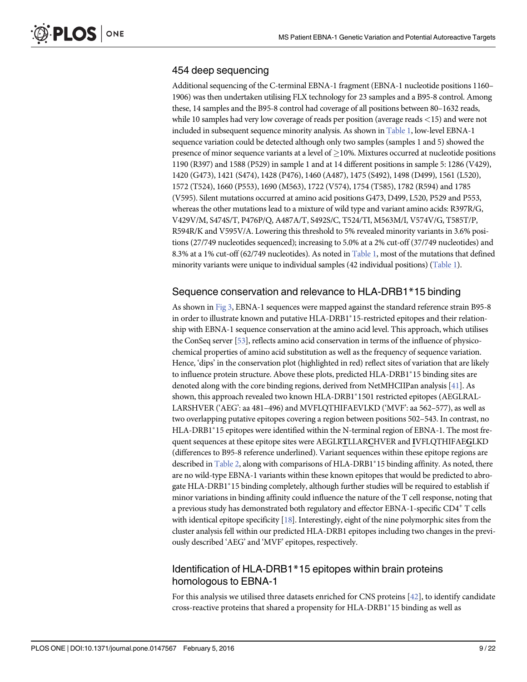#### <span id="page-11-0"></span>454 deep sequencing

Additional sequencing of the C-terminal EBNA-1 fragment (EBNA-1 nucleotide positions 1160– 1906) was then undertaken utilising FLX technology for 23 samples and a B95-8 control. Among these, 14 samples and the B95-8 control had coverage of all positions between 80–1632 reads, while 10 samples had very low coverage of reads per position (average reads <15) and were not included in subsequent sequence minority analysis. As shown in [Table 1,](#page-12-0) low-level EBNA-1 sequence variation could be detected although only two samples (samples 1 and 5) showed the presence of minor sequence variants at a level of  $\geq$  10%. Mixtures occurred at nucleotide positions 1190 (R397) and 1588 (P529) in sample 1 and at 14 different positions in sample 5: 1286 (V429), 1420 (G473), 1421 (S474), 1428 (P476), 1460 (A487), 1475 (S492), 1498 (D499), 1561 (L520), 1572 (T524), 1660 (P553), 1690 (M563), 1722 (V574), 1754 (T585), 1782 (R594) and 1785 (V595). Silent mutations occurred at amino acid positions G473, D499, L520, P529 and P553, whereas the other mutations lead to a mixture of wild type and variant amino acids: R397R/G, V429V/M, S474S/T, P476P/Q, A487A/T, S492S/C, T524/TI, M563M/I, V574V/G, T585T/P, R594R/K and V595V/A. Lowering this threshold to 5% revealed minority variants in 3.6% positions (27/749 nucleotides sequenced); increasing to 5.0% at a 2% cut-off (37/749 nucleotides) and 8.3% at a 1% cut-off (62/749 nucleotides). As noted in [Table 1,](#page-12-0) most of the mutations that defined minority variants were unique to individual samples (42 individual positions) ( $Table 1$ ).

#### Sequence conservation and relevance to HLA-DRB1\*15 binding

As shown in [Fig 3](#page-10-0), EBNA-1 sequences were mapped against the standard reference strain B95-8 in order to illustrate known and putative HLA-DRB1\*15-restricted epitopes and their relationship with EBNA-1 sequence conservation at the amino acid level. This approach, which utilises the ConSeq server [[53](#page-23-0)], reflects amino acid conservation in terms of the influence of physicochemical properties of amino acid substitution as well as the frequency of sequence variation. Hence, 'dips' in the conservation plot (highlighted in red) reflect sites of variation that are likely to influence protein structure. Above these plots, predicted HLA-DRB1<sup>\*</sup>15 binding sites are denoted along with the core binding regions, derived from NetMHCIIPan analysis  $[41]$ . As shown, this approach revealed two known HLA-DRB1\*1501 restricted epitopes (AEGLRAL-LARSHVER ('AEG': aa 481–496) and MVFLQTHIFAEVLKD ('MVF': aa 562–577), as well as two overlapping putative epitopes covering a region between positions 502–543. In contrast, no  $HLA-DRB1*15$  epitopes were identified within the N-terminal region of EBNA-1. The most frequent sequences at these epitope sites were AEGLRTLLARCHVER and IVFLQTHIFAEGLKD (differences to B95-8 reference underlined). Variant sequences within these epitope regions are described in [Table 2,](#page-14-0) along with comparisons of HLA-DRB1\*15 binding affinity. As noted, there are no wild-type EBNA-1 variants within these known epitopes that would be predicted to abrogate HLA-DRB1<sup>\*</sup>15 binding completely, although further studies will be required to establish if minor variations in binding affinity could influence the nature of the T cell response, noting that a previous study has demonstrated both regulatory and effector EBNA-1-specific CD4+ T cells with identical epitope specificity  $[18]$  $[18]$ . Interestingly, eight of the nine polymorphic sites from the cluster analysis fell within our predicted HLA-DRB1 epitopes including two changes in the previously described 'AEG' and 'MVF' epitopes, respectively.

#### Identification of HLA-DRB1\*15 epitopes within brain proteins homologous to EBNA-1

For this analysis we utilised three datasets enriched for CNS proteins [[42](#page-23-0)], to identify candidate cross-reactive proteins that shared a propensity for HLA-DRB1\*15 binding as well as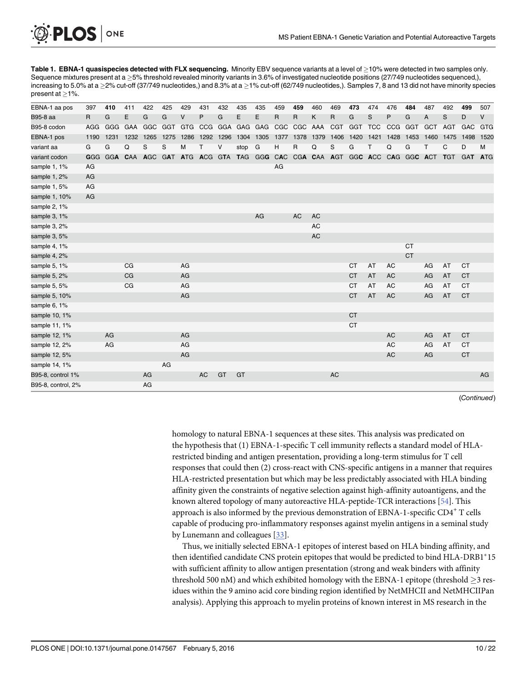[Table 1.](#page-11-0) EBNA-1 quasispecies detected with FLX sequencing. Minority EBV sequence variants at a level of  $\geq$ 10% were detected in two samples only. Sequence mixtures present at a >5% threshold revealed minority variants in 3.6% of investigated nucleotide positions (27/749 nucleotides sequenced,), increasing to 5.0% at a  $\geq$ 2% cut-off (37/749 nucleotides,) and 8.3% at a  $\geq$ 1% cut-off (62/749 nucleotides,). Samples 7, 8 and 13 did not have minority species present at  $>1\%$ .

| EBNA-1 aa pos      | 397        | 410 | 411            | 422                                                                     | 425     | 429  | 431       | 432 | 435                 | 435 | 459                      | 459         | 460       | 469       | 473       | 474  | 476       | 484       | 487  | 492        | 499        | 507        |
|--------------------|------------|-----|----------------|-------------------------------------------------------------------------|---------|------|-----------|-----|---------------------|-----|--------------------------|-------------|-----------|-----------|-----------|------|-----------|-----------|------|------------|------------|------------|
| B95-8 aa           | R          | G   | E              | G                                                                       | G       | V    | P         | G   | Е                   | Е   | R                        | R           | Κ         | R         | G         | S    | P         | G         | A    | S          | D          | $\vee$     |
| B95-8 codon        | AGG        |     | GGG GAA        |                                                                         | GGC GGT |      |           |     | GTG CCG GGA GAG GAG |     |                          | CGC CGC AAA |           | CGT       | GGT TCC   |      |           | CCG GGT   | GCT  | AGT        | GAC        | <b>GTG</b> |
| EBNA-1 pos         | 1190       |     | 1231 1232 1265 |                                                                         | 1275    | 1286 | 1292 1296 |     | 1304 1305           |     | 1377 1378 1379 1406 1420 |             |           |           |           | 1421 | 1428      | 1453      | 1460 | 1475       | 1498       | 1520       |
| variant aa         | G          | G   | Q              | S                                                                       | S       | M    | T         | V   | stop                | G   | н                        | R           | Q         | S         | G         | T    | Q         | G         | т    | C          | D          | M          |
| variant codon      | <b>GGG</b> |     |                | GGA CAA AGC GAT ATG ACG GTA TAG GGG CAC CGA CAA AGT GGC ACC CAG GGC ACT |         |      |           |     |                     |     |                          |             |           |           |           |      |           |           |      | <b>TGT</b> | <b>GAT</b> | <b>ATG</b> |
| sample 1, 1%       | AG         |     |                |                                                                         |         |      |           |     |                     |     | AG                       |             |           |           |           |      |           |           |      |            |            |            |
| sample 1, 2%       | AG         |     |                |                                                                         |         |      |           |     |                     |     |                          |             |           |           |           |      |           |           |      |            |            |            |
| sample 1, 5%       | AG         |     |                |                                                                         |         |      |           |     |                     |     |                          |             |           |           |           |      |           |           |      |            |            |            |
| sample 1, 10%      | AG         |     |                |                                                                         |         |      |           |     |                     |     |                          |             |           |           |           |      |           |           |      |            |            |            |
| sample 2, 1%       |            |     |                |                                                                         |         |      |           |     |                     |     |                          |             |           |           |           |      |           |           |      |            |            |            |
| sample 3, 1%       |            |     |                |                                                                         |         |      |           |     |                     | AG  |                          | <b>AC</b>   | <b>AC</b> |           |           |      |           |           |      |            |            |            |
| sample 3, 2%       |            |     |                |                                                                         |         |      |           |     |                     |     |                          |             | <b>AC</b> |           |           |      |           |           |      |            |            |            |
| sample 3, 5%       |            |     |                |                                                                         |         |      |           |     |                     |     |                          |             | <b>AC</b> |           |           |      |           |           |      |            |            |            |
| sample 4, 1%       |            |     |                |                                                                         |         |      |           |     |                     |     |                          |             |           |           |           |      |           | <b>CT</b> |      |            |            |            |
| sample 4, 2%       |            |     |                |                                                                         |         |      |           |     |                     |     |                          |             |           |           |           |      |           | <b>CT</b> |      |            |            |            |
| sample 5, 1%       |            |     | CG             |                                                                         |         | AG   |           |     |                     |     |                          |             |           |           | <b>CT</b> | AT   | AC        |           | AG   | AT         | <b>CT</b>  |            |
| sample 5, 2%       |            |     | CG             |                                                                         |         | AG   |           |     |                     |     |                          |             |           |           | <b>CT</b> | AT   | <b>AC</b> |           | AG   | AT         | <b>CT</b>  |            |
| sample 5, 5%       |            |     | CG             |                                                                         |         | AG   |           |     |                     |     |                          |             |           |           | <b>CT</b> | AT   | <b>AC</b> |           | AG   | AT         | <b>CT</b>  |            |
| sample 5, 10%      |            |     |                |                                                                         |         | AG   |           |     |                     |     |                          |             |           |           | <b>CT</b> | AT   | <b>AC</b> |           | AG   | AT         | <b>CT</b>  |            |
| sample 6, 1%       |            |     |                |                                                                         |         |      |           |     |                     |     |                          |             |           |           |           |      |           |           |      |            |            |            |
| sample 10, 1%      |            |     |                |                                                                         |         |      |           |     |                     |     |                          |             |           |           | <b>CT</b> |      |           |           |      |            |            |            |
| sample 11, 1%      |            |     |                |                                                                         |         |      |           |     |                     |     |                          |             |           |           | <b>CT</b> |      |           |           |      |            |            |            |
| sample 12, 1%      |            | AG  |                |                                                                         |         | AG   |           |     |                     |     |                          |             |           |           |           |      | <b>AC</b> |           | AG   | AT         | <b>CT</b>  |            |
| sample 12, 2%      |            | AG  |                |                                                                         |         | AG   |           |     |                     |     |                          |             |           |           |           |      | <b>AC</b> |           | AG   | AT         | <b>CT</b>  |            |
| sample 12, 5%      |            |     |                |                                                                         |         | AG   |           |     |                     |     |                          |             |           |           |           |      | <b>AC</b> |           | AG   |            | <b>CT</b>  |            |
| sample 14, 1%      |            |     |                |                                                                         | AG      |      |           |     |                     |     |                          |             |           |           |           |      |           |           |      |            |            |            |
| B95-8, control 1%  |            |     |                | AG                                                                      |         |      | AC        | GT  | GT                  |     |                          |             |           | <b>AC</b> |           |      |           |           |      |            |            | AG         |
| B95-8, control, 2% |            |     |                | AG                                                                      |         |      |           |     |                     |     |                          |             |           |           |           |      |           |           |      |            |            |            |

(Continued)

homology to natural EBNA-1 sequences at these sites. This analysis was predicated on the hypothesis that (1) EBNA-1-specific T cell immunity reflects a standard model of HLArestricted binding and antigen presentation, providing a long-term stimulus for T cell responses that could then (2) cross-react with CNS-specific antigens in a manner that requires HLA-restricted presentation but which may be less predictably associated with HLA binding affinity given the constraints of negative selection against high-affinity autoantigens, and the known altered topology of many autoreactive HLA-peptide-TCR interactions [[54\]](#page-23-0). This approach is also informed by the previous demonstration of  $EBNA-1$ -specific  $CD4^+$  T cells capable of producing pro-inflammatory responses against myelin antigens in a seminal study by Lunemann and colleagues [[33](#page-22-0)].

Thus, we initially selected EBNA-1 epitopes of interest based on HLA binding affinity, and then identified candidate CNS protein epitopes that would be predicted to bind HLA-DRB1\*15 with sufficient affinity to allow antigen presentation (strong and weak binders with affinity threshold 500 nM) and which exhibited homology with the EBNA-1 epitope (threshold  $>3$  residues within the 9 amino acid core binding region identified by NetMHCII and NetMHCIIPan analysis). Applying this approach to myelin proteins of known interest in MS research in the

ONE

<span id="page-12-0"></span>**PLOS I**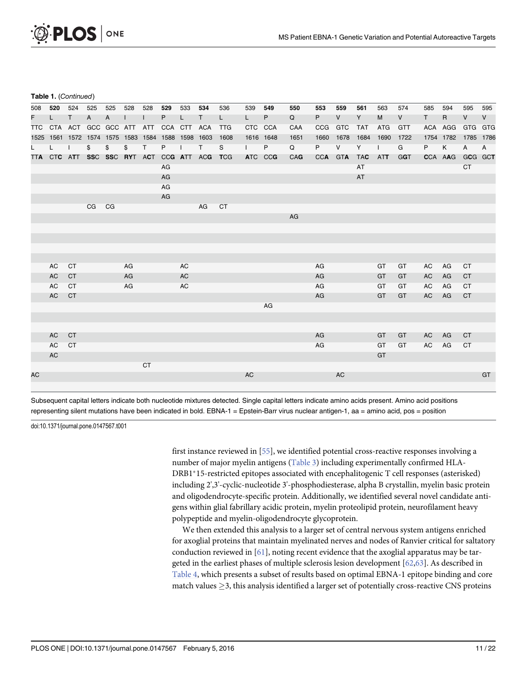<span id="page-13-0"></span>

|  | Table 1. (Continued) |
|--|----------------------|
|  |                      |

| 508 | 520      | 524                                               | 525   | 525 | 528 | 528          | 529     | 533       | 534                                         | 536       | 539          | 549 | 550         | 553        | 559        | 561        | 563        | 574          | 585   | 594          | 595          | 595          |
|-----|----------|---------------------------------------------------|-------|-----|-----|--------------|---------|-----------|---------------------------------------------|-----------|--------------|-----|-------------|------------|------------|------------|------------|--------------|-------|--------------|--------------|--------------|
| F.  | L.       | $\mathsf{T}$                                      | A     | A   |     | $\mathsf{I}$ | P       | L.        | Τ                                           | L.        | $\mathsf{L}$ | P.  | $\mathsf Q$ | P          | V          | Y          | M          | $\mathsf{V}$ | T     | $\mathsf{R}$ | V            | V            |
| TTC |          | CTA ACT GCC GCC ATT ATT                           |       |     |     |              | CCA CTT |           | ACA TTG                                     |           | CTC CCA      |     | CAA         | <b>CCG</b> | <b>GTC</b> | <b>TAT</b> | <b>ATG</b> | <b>GTT</b>   |       | ACA AGG      | GTG GTG      |              |
|     |          | 1525 1561 1572 1574 1575 1583 1584 1588 1598 1603 |       |     |     |              |         |           |                                             | 1608      | 1616 1648    |     | 1651        | 1660       | 1678       | 1684       | 1690       | 1722         |       | 1754 1782    | 1785 1786    |              |
| L.  | L.       | $\perp$                                           | \$    | \$  | \$  | T            | P       | $\perp$   | $\mathsf{T}$                                | S         | $\mathbf{I}$ | P   | $\Omega$    | P          | $\vee$     | Y          | $\perp$    | G            | P     | K            | $\mathsf{A}$ | $\mathsf{A}$ |
|     |          |                                                   |       |     |     |              |         |           | TTA CTC ATT SSC SSC RYT ACT CCG ATT ACG TCG |           | ATC CCG      |     | CAG         |            | CCA GTA    | <b>TAC</b> | ATT        | <b>GGT</b>   |       | CCA AAG      | GCG GCT      |              |
|     |          |                                                   |       |     |     |              | AG      |           |                                             |           |              |     |             |            |            | AT         |            |              |       |              | <b>CT</b>    |              |
|     |          |                                                   |       |     |     |              | AG      |           |                                             |           |              |     |             |            |            | <b>AT</b>  |            |              |       |              |              |              |
|     |          |                                                   |       |     |     |              | AG      |           |                                             |           |              |     |             |            |            |            |            |              |       |              |              |              |
|     |          |                                                   |       |     |     |              | AG      |           |                                             |           |              |     |             |            |            |            |            |              |       |              |              |              |
|     |          |                                                   | CG CG |     |     |              |         |           | AG                                          | <b>CT</b> |              |     |             |            |            |            |            |              |       |              |              |              |
|     |          |                                                   |       |     |     |              |         |           |                                             |           |              |     | AG          |            |            |            |            |              |       |              |              |              |
|     |          |                                                   |       |     |     |              |         |           |                                             |           |              |     |             |            |            |            |            |              |       |              |              |              |
|     |          |                                                   |       |     |     |              |         |           |                                             |           |              |     |             |            |            |            |            |              |       |              |              |              |
|     |          |                                                   |       |     |     |              |         |           |                                             |           |              |     |             |            |            |            |            |              |       |              |              |              |
|     |          |                                                   |       |     |     |              |         |           |                                             |           |              |     |             |            |            |            |            |              |       |              |              |              |
|     | AC       | CT                                                |       |     | AG  |              |         | <b>AC</b> |                                             |           |              |     |             | AG         |            |            | GT         | GT           | AC    | AG           | <b>CT</b>    |              |
|     | AC       | <b>CT</b>                                         |       |     | AG  |              |         | AC        |                                             |           |              |     |             | AG         |            |            | GT         | GT           | AC    | AG           | <b>CT</b>    |              |
|     | AC       | CT                                                |       |     | AG  |              |         | AC        |                                             |           |              |     |             | AG         |            |            | GT         | GT           | AC    | AG           | <b>CT</b>    |              |
|     | AC       | <b>CT</b>                                         |       |     |     |              |         |           |                                             |           |              |     |             | AG         |            |            | GT         | GT           | AC    | AG           | <b>CT</b>    |              |
|     |          |                                                   |       |     |     |              |         |           |                                             |           |              | AG  |             |            |            |            |            |              |       |              |              |              |
|     |          |                                                   |       |     |     |              |         |           |                                             |           |              |     |             |            |            |            |            |              |       |              |              |              |
|     |          |                                                   |       |     |     |              |         |           |                                             |           |              |     |             |            |            |            |            |              |       |              |              |              |
|     | AC       | <b>CT</b>                                         |       |     |     |              |         |           |                                             |           |              |     |             | AG         |            |            | GT         | GT           | AC    | AG           | <b>CT</b>    |              |
|     | AC<br>AC | <b>CT</b>                                         |       |     |     |              |         |           |                                             |           |              |     |             | AG         |            |            | GT<br>GT   | GT           | AC AG |              | <b>CT</b>    |              |
|     |          |                                                   |       |     |     |              |         |           |                                             |           |              |     |             |            |            |            |            |              |       |              |              |              |
| AC  |          |                                                   |       |     |     | <b>CT</b>    |         |           |                                             |           | AC           |     |             |            | AC         |            |            |              |       |              |              | GT           |
|     |          |                                                   |       |     |     |              |         |           |                                             |           |              |     |             |            |            |            |            |              |       |              |              |              |
|     |          |                                                   |       |     |     |              |         |           |                                             |           |              |     |             |            |            |            |            |              |       |              |              |              |

Subsequent capital letters indicate both nucleotide mixtures detected. Single capital letters indicate amino acids present. Amino acid positions representing silent mutations have been indicated in bold. EBNA-1 = Epstein-Barr virus nuclear antigen-1, aa = amino acid, pos = position

doi:10.1371/journal.pone.0147567.t001

first instance reviewed in [\[55\]](#page-23-0), we identified potential cross-reactive responses involving a number of major myelin antigens [\(Table 3\)](#page-15-0) including experimentally confirmed HLA-DRB1\*15-restricted epitopes associated with encephalitogenic T cell responses (asterisked) including 2',3'-cyclic-nucleotide 3'-phosphodiesterase, alpha B crystallin, myelin basic protein and oligodendrocyte-specific protein. Additionally, we identified several novel candidate antigens within glial fabrillary acidic protein, myelin proteolipid protein, neurofilament heavy polypeptide and myelin-oligodendrocyte glycoprotein.

We then extended this analysis to a larger set of central nervous system antigens enriched for axoglial proteins that maintain myelinated nerves and nodes of Ranvier critical for saltatory conduction reviewed in  $[61]$  $[61]$  $[61]$ , noting recent evidence that the axoglial apparatus may be targeted in the earliest phases of multiple sclerosis lesion development [[62,63](#page-24-0)]. As described in [Table 4](#page-17-0), which presents a subset of results based on optimal EBNA-1 epitope binding and core match values  $\geq$ 3, this analysis identified a larger set of potentially cross-reactive CNS proteins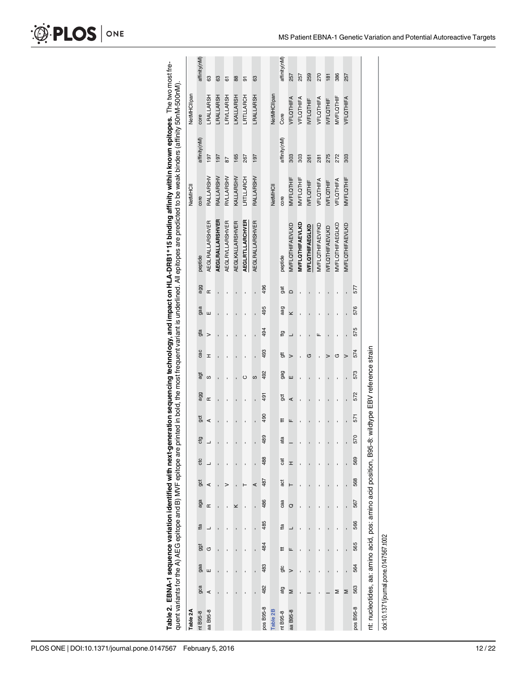<span id="page-14-0"></span>

| O PLOS ONE |  |
|------------|--|
|------------|--|

| i                        |                                           |
|--------------------------|-------------------------------------------|
|                          |                                           |
|                          |                                           |
|                          |                                           |
|                          | ١                                         |
| d                        | ֧֧֧ׅ֧֧֧֧֧֛֛֛֧֛֚֚֚֚֚֚֚֚֚֚֚֚֚֚֚֝֝֜֜֜֜֜֜֜֝֜֜ |
|                          | $\overline{\phantom{a}}$                  |
| i                        |                                           |
|                          |                                           |
|                          |                                           |
|                          |                                           |
|                          |                                           |
|                          |                                           |
|                          |                                           |
|                          |                                           |
| Ì                        |                                           |
|                          |                                           |
|                          |                                           |
|                          |                                           |
|                          |                                           |
|                          |                                           |
| ?                        | יימי היים ה                               |
| $\overline{\phantom{a}}$ |                                           |
|                          | ;<br>;                                    |
| )<br>2<br>2<br>2         |                                           |
| HI A_DDR1*15 hind        |                                           |
|                          |                                           |
|                          |                                           |
|                          |                                           |
|                          |                                           |
| $\vdots$                 |                                           |
|                          |                                           |
| . Canal important        |                                           |
| j                        |                                           |
|                          |                                           |
|                          |                                           |
|                          |                                           |
|                          |                                           |
|                          |                                           |
|                          |                                           |
|                          |                                           |
|                          | -<br>-<br>-<br>-                          |
|                          |                                           |
|                          |                                           |
|                          | へいこう                                      |
|                          |                                           |
| ć                        | Í                                         |
|                          |                                           |
| į                        |                                           |
|                          |                                           |
|                          | L                                         |
|                          |                                           |
|                          | ֚֚֬                                       |
|                          |                                           |
|                          |                                           |
|                          |                                           |
|                          |                                           |
|                          | Í<br>l                                    |
|                          | !                                         |
|                          |                                           |
|                          |                                           |
|                          |                                           |
|                          | í                                         |
|                          |                                           |
|                          |                                           |
|                          | $-200$                                    |
| ī                        |                                           |
|                          |                                           |

| Table 2A                                                        |     |        |            |     |     |            |     |     |                                  |     |            |     |             |            |                |                        | <b>NetMHCII</b>  |              | NetMHCllpan      |              |
|-----------------------------------------------------------------|-----|--------|------------|-----|-----|------------|-----|-----|----------------------------------|-----|------------|-----|-------------|------------|----------------|------------------------|------------------|--------------|------------------|--------------|
| nt B95-8                                                        | gca | gaa    | <b>ggt</b> | tta | aga | <b>gct</b> | ctc | ctg | <b>gct</b>                       | agg | āgt        | cac | gta         | gaa        | peptide<br>agg |                        | core             | affinity(nM) | core             | affinity(nM) |
| aa B95-8                                                        | ⋖   | Ш      | G          | ┙   | Œ   | ⋖          |     | ┙   | ⋖                                | Œ   | S          | I   | ш<br>$\geq$ | Œ          |                | <b>AEGLRALLARSHVER</b> | RALLARSHV        | 197          | LRALLARSH        | 63           |
|                                                                 |     |        |            |     |     |            |     |     |                                  |     |            |     |             |            |                | <b>AEGLRALLARSHVER</b> | RALLARSHV        | 197          | LRALLARSH        | 63           |
|                                                                 |     |        |            |     |     | >          |     |     | ï                                |     |            |     |             |            |                | <b>AEGLRVLLARSHVER</b> | RVLLARSHV        | 87           | <b>LRVLLARSH</b> | 61           |
|                                                                 |     |        |            |     | ×   |            |     |     | $\blacksquare$                   |     |            |     |             |            |                | <b>AEGLKALLARSHVER</b> | KALLARSHV        | 165          | LKALLARSH        | 88           |
|                                                                 |     |        |            |     |     |            |     |     |                                  |     | ပ          |     |             |            |                | <b>AEGLRTLLARCHVER</b> | LRTLLARCH        | 267          | LRTLLARCH        | 5            |
|                                                                 | ï   | ï      | í          | ı   |     | ⋖          |     |     | ï                                | ï   | S          |     | ï           |            |                | <b>AEGLRALLARSHVER</b> | RALLARSHV        | 197          | <b>LRALLARSH</b> | 63           |
| pos B95-8                                                       | 482 | 483    | 484        | 485 | 486 | 487        | 488 | 489 | 490                              | 491 | 492        | 493 | 494         | 495        | 496            |                        |                  |              |                  |              |
| Table 2B                                                        |     |        |            |     |     |            |     |     |                                  |     |            |     |             |            |                |                        | <b>NetMHCII</b>  |              | NetMHCllpan      |              |
| nt B95-8                                                        | atg | gtc    | Ħ          | tta | caa | āct        | cat | ata | ŧ                                | ğ   | <b>gag</b> | t,  | tg          | gat<br>aag | peptide        |                        | core             | affinity(nM) | Core             | affinity(nM) |
| B95-8<br>æ                                                      | Σ   | $\geq$ | Щ          |     | O   |            | I   |     | щ                                | ⋖   | Ш          |     | $\geq$      | $\Box$     |                | <b>MVFLQTHIFAEVLKD</b> | <b>MVFLQTHIF</b> | 303          | <b>VFLQTHIFA</b> | 257          |
|                                                                 | ï   | ï      |            |     |     |            |     |     | ï                                |     |            |     |             |            |                | <b>MVFLQTHIFAEVLKD</b> | <b>MVFLQTHIF</b> | 303          | VFLQTHIFA        | 257          |
|                                                                 |     |        |            |     |     |            |     |     |                                  |     |            | G   |             |            |                | <b>IVFLOTHIFAEGLKD</b> | <b>IVFLQTHIF</b> | 261          | <b>IVFLQTHIF</b> | 259          |
|                                                                 |     |        |            |     |     |            |     |     |                                  |     |            |     | щ           |            |                | <b>MVFLQTHIFAEVFKD</b> | VFLQTHIFA        | 281          | <b>VFLQTHIFA</b> | 270          |
|                                                                 |     |        |            |     |     |            |     |     |                                  |     |            |     |             |            |                | <b>IVFLQTHIFAEVLKD</b> | <b>IVFLQTHIF</b> | 275          | <b>IVFLQTHIF</b> | 181          |
|                                                                 | Σ   |        |            |     |     |            |     |     |                                  |     |            | G   |             |            |                | <b>MVFLQTHIFAEGLKD</b> | VFLQTHIFA        | 272          | <b>MVFLQTHIF</b> | 386          |
|                                                                 | Σ   | ï      |            |     |     | ï          |     |     |                                  |     |            |     |             |            |                | <b>MVFLQTHIFAEVLKD</b> | <b>MVFLQTHIF</b> | 303          | VFLQTHIFA        | 257          |
| pos B95-8                                                       | 563 | 564    | 565        | 566 | 567 | 568        | 569 | 570 | 571                              | 572 | 573        | 574 | 575         | 577<br>576 |                |                        |                  |              |                  |              |
| nt: nucleotides, aa: amino acid, pos: amino acid position, B95- |     |        |            |     |     |            |     |     | 8: wildtype EBV reference strain |     |            |     |             |            |                |                        |                  |              |                  |              |
| doi:10.1371/journal.pone.0147567.t002                           |     |        |            |     |     |            |     |     |                                  |     |            |     |             |            |                |                        |                  |              |                  |              |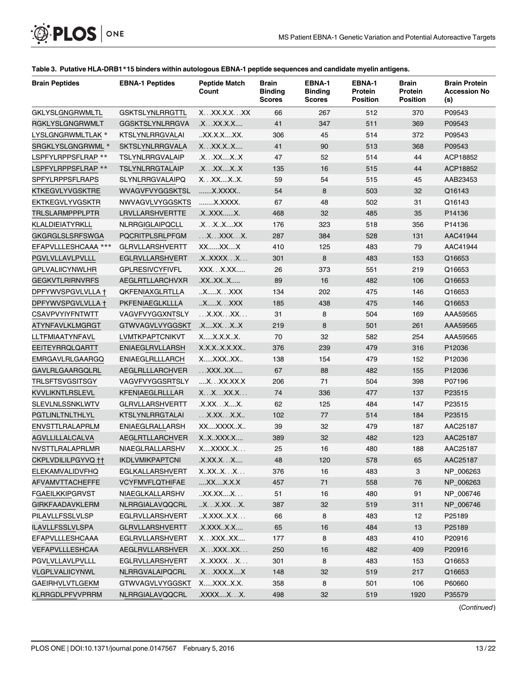<span id="page-15-0"></span>

| <b>Brain Peptides</b>  | <b>EBNA-1 Peptides</b> | <b>Peptide Match</b><br>Count                 | <b>Brain</b><br><b>Binding</b><br><b>Scores</b> | EBNA-1<br><b>Binding</b><br><b>Scores</b> | EBNA-1<br>Protein<br><b>Position</b> | <b>Brain</b><br>Protein<br><b>Position</b> | <b>Brain Protein</b><br><b>Accession No</b><br>(s) |
|------------------------|------------------------|-----------------------------------------------|-------------------------------------------------|-------------------------------------------|--------------------------------------|--------------------------------------------|----------------------------------------------------|
| GKLYSLGNGRWMLTL        | <b>GSKTSLYNLRRGTTL</b> | $X_{\cdot}$ . $XX$ $XX$ $X_{\cdot}$ $XX$ $XX$ | 66                                              | 267                                       | 512                                  | 370                                        | P09543                                             |
| RGKLYSLGNGRWMLT        | <b>GGSKTSLYNLRRGVA</b> | .X. XX.X.X                                    | 41                                              | 347                                       | 511                                  | 369                                        | P09543                                             |
| LYSLGNGRWMLTLAK *      | <b>KTSLYNLRRGVALAI</b> | .XX.X.XXX.                                    | 306                                             | 45                                        | 514                                  | 372                                        | P09543                                             |
| SRGKLYSLGNGRWML *      | SKTSLYNLRRGVALA        | XXX.XX                                        | 41                                              | 90                                        | 513                                  | 368                                        | P09543                                             |
| LSPFYLRPPSFLRAP **     | TSLYNLRRGVALAIP        | .X.XXXX                                       | 47                                              | 52                                        | 514                                  | 44                                         | ACP18852                                           |
| LSPFYLRPPSFLRAP **     | TSLYNLRRGTALAIP        | .X. XX. X. . X                                | 135                                             | 16                                        | 515                                  | 44                                         | ACP18852                                           |
| SPFYLRPPSFLRAPS        | <b>SLYNLRRGVALAIPQ</b> | X. XX. X. . X.                                | 59                                              | 54                                        | 515                                  | 45                                         | AAB23453                                           |
| KTKEGVLYVGSKTRE        | WVAGVFVYGGSKTSL        | X.XXXX                                        | 54                                              | 8                                         | 503                                  | 32                                         | Q16143                                             |
| EKTKEGVLYVGSKTR        | <b>NWVAGVLVYGGSKTS</b> | X.XXXX.                                       | 67                                              | 48                                        | 502                                  | 31                                         | Q16143                                             |
| TRLSLARMPPPLPTR        | LRVLLARSHVERTTE        | .XXXXX.                                       | 468                                             | 32                                        | 485                                  | 35                                         | P14136                                             |
| KLALDIEIATYRKLL        | NLRRGIGLAIPQCLL        | .X.XXXX                                       | 176                                             | 323                                       | 518                                  | 356                                        | P14136                                             |
| GKGRGLSLSRFSWGA        | PQCRITPLSRLPFGM        | .X.XXX.X.                                     | 287                                             | 384                                       | 528                                  | 131                                        | AAC41944                                           |
| EFAPVLLLESHCAAA ***    | <b>GLRVLLARSHVERTT</b> | $XX$ $XX$ $X$                                 | 410                                             | 125                                       | 483                                  | 79                                         | AAC41944                                           |
| PGVLVLLAVLPVLLL        | <b>EGLRVLLARSHVERT</b> | .XXXXXX                                       | 301                                             | 8                                         | 483                                  | 153                                        | Q16653                                             |
| GPLVALIICYNWLHR        | <b>GPLRESIVCYFIVFL</b> | XXXX.XX                                       | 26                                              | 373                                       | 551                                  | 219                                        | Q16653                                             |
| GEGKVTLRIRNVRFS        | AEGLRTLLARCHVXR        | .XXXXX                                        | 89                                              | 16                                        | 482                                  | 106                                        | Q16653                                             |
| DPFYWVSPGVLVLLA †      | QKFENIAXGLRTLLA        | XX.XXX                                        | 134                                             | 202                                       | 475                                  | 146                                        | Q16653                                             |
| DPFYWVSPGVLVLLA †      | PKFENIAEGLKLLLA        | XX.XXX                                        | 185                                             | 438                                       | 475                                  | 146                                        | Q16653                                             |
| <b>CSAVPVYIYFNTWTT</b> | VAGVFVYGGXNTSLY        | X.XXXX                                        | 31                                              | 8                                         | 504                                  | 169                                        | AAA59565                                           |
| ATYNFAVLKLMGRGT        | <b>GTWVAGVLVYGGSKT</b> | .XXX.XX                                       | 219                                             | 8                                         | 501                                  | 261                                        | AAA59565                                           |
| LLTFMIAATYNFAVL        | LVMTKPAPTCNIKVT        | XX.X.XX.                                      | 70                                              | 32                                        | 582                                  | 254                                        | AAA59565                                           |
| EEITEYRRQLQARTT        | <b>ENIAEGLRVLLARSH</b> | X.X.XX.X.XX                                   | 376                                             | 239                                       | 479                                  | 316                                        | P12036                                             |
| EMRGAVLRLGAARGQ        | <b>ENIAEGLRLLLARCH</b> | XXXXXX                                        | 138                                             | 154                                       | 479                                  | 152                                        | P12036                                             |
| GAVLRLGAARGQLRL        | AEGLRLLLARCHVER        | XXXXX                                         | 67                                              | 88                                        | 482                                  | 155                                        | P12036                                             |
| TRLSFTSVGSITSGY        | VAGVFVYGGSRTSLY        | X.XX.XX.X                                     | 206                                             | 71                                        | 504                                  | 398                                        | P07196                                             |
| KVVLIKNTLRSLEVL        | KFENIAEGLRLLLAR        | X. X. XX. X.                                  | 74                                              | 336                                       | 477                                  | 137                                        | P23515                                             |
| SLEVLNLSSNKLWTV        | <b>GLRVLLARSHVERTT</b> | .X.XX. XX.                                    | 62                                              | 125                                       | 484                                  | 147                                        | P23515                                             |
| PGTLINLTNLTHLYL        | <b>KTSLYNLRRGTALAI</b> | $\ldots$ X.XX $\ldots$ X.X $\ldots$           | 102                                             | 77                                        | 514                                  | 184                                        | P23515                                             |
| ENVSTTLRALAPRLM        | <b>ENIAEGLRALLARSH</b> | XXXXXXX                                       | 39                                              | 32                                        | 479                                  | 187                                        | AAC25187                                           |
| AGVLLILLALCALVA        | AEGLRTLLARCHVER        | XXXXX.X                                       | 389                                             | 32                                        | 482                                  | 123                                        | AAC25187                                           |
| NVSTTLRALAPRLMR        | NIAEGLRALLARSHV        | XXXXXX                                        | 25                                              | 16                                        | 480                                  | 188                                        | AAC25187                                           |
| CKPLVDILILPGYVQ ††     | <b>IKDLVMIKPAPTCNI</b> | .X.XX.X. X                                    | 48                                              | 120                                       | 578                                  | 65                                         | AAC25187                                           |
| ELEKAMVALIDVFHQ        | EGLKALLARSHVERT        | XXXXX                                         | 376                                             | 16                                        | 483                                  | 3                                          | NP_006263                                          |
| AFVAMVTTACHEFFE        | <b>VCYFMVFLQTHIFAE</b> | XXXX.X                                        | 457                                             | 71                                        | 558                                  | 76                                         | NP_006263                                          |
| <b>FGAEILKKIPGRVST</b> | NIAEGLKALLARSHV        | .XX.XXX                                       | 51                                              | 16                                        | 480                                  | 91                                         | NP 006746                                          |
| GIRKFAADAVKLERM        | NLRRGIALAVQQCRL        | X.X.XX.X.                                     | 387                                             | 32                                        | 519                                  | 311                                        | NP_006746                                          |
| PILAVLLFSSLVLSP        | EGLRVLLARSHVERT        | .X.XXXX.X                                     | 66                                              | 8                                         | 483                                  | 12                                         | P25189                                             |
| ILAVLLFSSLVLSPA        | <b>GLRVLLARSHVERTT</b> | .X.XXXX.X                                     | 65                                              | 16                                        | 484                                  | 13                                         | P25189                                             |
| EFAPVLLLESHCAAA        | EGLRVLLARSHVERT        | XXXXXX                                        | 177                                             | 8                                         | 483                                  | 410                                        | P20916                                             |
| VEFAPVLLLESHCAA        | AEGLRVLLARSHVER        | .X. XXX XX.                                   | 250                                             | 16                                        | 482                                  | 409                                        | P20916                                             |
| PGVLVLLAVLPVLLL        | EGLRVLLARSHVERT        | .XXXXX.X.                                     | 301                                             | 8                                         | 483                                  | 153                                        | Q16653                                             |
| VLGPLVALIICYNWL        | NLRRGVALAIPQCRL        | .X. XXX.X  . X                                | 148                                             | 32                                        | 519                                  | 217                                        | Q16653                                             |
| GAEIRHVLVTLGEKM        | <b>GTWVAGVLVYGGSKT</b> | XXXXX.X.                                      | 358                                             | 8                                         | 501                                  | 106                                        | P60660                                             |
| KLRRGDLPFVVPRRM        | NLRRGIALAVQQCRL        | .XXXXX.X.                                     | 498                                             | 32                                        | 519                                  | 1920                                       | P35579                                             |

#### [Table 3.](#page-13-0) Putative HLA-DRB1\*15 binders within autologous EBNA-1 peptide sequences and candidate myelin antigens.

(Continued)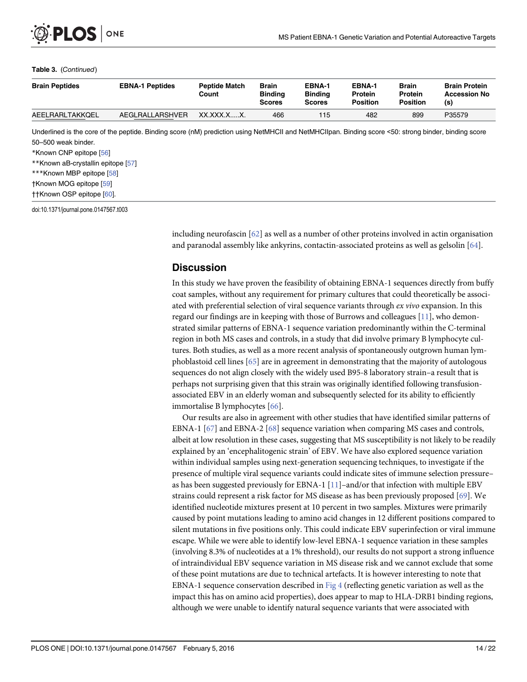#### <span id="page-16-0"></span>Table 3. (Continued)

| <b>Brain Peptides</b>                                                                                                                                | <b>EBNA-1 Peptides</b> | <b>Peptide Match</b><br>Count | <b>Brain</b><br><b>Binding</b><br><b>Scores</b> | <b>EBNA-1</b><br><b>Binding</b><br><b>Scores</b> | EBNA-1<br><b>Protein</b><br><b>Position</b> | <b>Brain</b><br><b>Protein</b><br><b>Position</b> | <b>Brain Protein</b><br><b>Accession No</b><br>(s) |
|------------------------------------------------------------------------------------------------------------------------------------------------------|------------------------|-------------------------------|-------------------------------------------------|--------------------------------------------------|---------------------------------------------|---------------------------------------------------|----------------------------------------------------|
| AEELRARLTAKKQEL                                                                                                                                      | AEGLRALLARSHVER        | XX.XXX.XX.                    | 466                                             | 115                                              | 482                                         | 899                                               | P35579                                             |
| Underlined is the core of the peptide. Binding score (nM) prediction using NetMHCII and NetMHCIIpan. Binding score <50: strong binder, binding score |                        |                               |                                                 |                                                  |                                             |                                                   |                                                    |

50–500 weak binder. \*Known CNP epitope [\[56](#page-23-0)] \*\*Known aB-crystallin epitope [[57\]](#page-23-0) \*\*\*Known MBP epitope [\[58](#page-23-0)] †Known MOG epitope [\[59](#page-23-0)]

††Known OSP epitope [[60](#page-23-0)].

doi:10.1371/journal.pone.0147567.t003

including neurofascin  $[62]$  as well as a number of other proteins involved in actin organisation and paranodal assembly like ankyrins, contactin-associated proteins as well as gelsolin [\[64\]](#page-24-0).

#### **Discussion**

In this study we have proven the feasibility of obtaining EBNA-1 sequences directly from buffy coat samples, without any requirement for primary cultures that could theoretically be associated with preferential selection of viral sequence variants through ex vivo expansion. In this regard our findings are in keeping with those of Burrows and colleagues  $[11]$ , who demonstrated similar patterns of EBNA-1 sequence variation predominantly within the C-terminal region in both MS cases and controls, in a study that did involve primary B lymphocyte cultures. Both studies, as well as a more recent analysis of spontaneously outgrown human lymphoblastoid cell lines [[65](#page-24-0)] are in agreement in demonstrating that the majority of autologous sequences do not align closely with the widely used B95-8 laboratory strain–a result that is perhaps not surprising given that this strain was originally identified following transfusionassociated EBV in an elderly woman and subsequently selected for its ability to efficiently immortalise B lymphocytes [\[66\]](#page-24-0).

Our results are also in agreement with other studies that have identified similar patterns of EBNA-1 [[67](#page-24-0)] and EBNA-2 [[68\]](#page-24-0) sequence variation when comparing MS cases and controls, albeit at low resolution in these cases, suggesting that MS susceptibility is not likely to be readily explained by an 'encephalitogenic strain' of EBV. We have also explored sequence variation within individual samples using next-generation sequencing techniques, to investigate if the presence of multiple viral sequence variants could indicate sites of immune selection pressure– as has been suggested previously for EBNA-1  $[11]$ –and/or that infection with multiple EBV strains could represent a risk factor for MS disease as has been previously proposed [[69](#page-24-0)]. We identified nucleotide mixtures present at 10 percent in two samples. Mixtures were primarily caused by point mutations leading to amino acid changes in 12 different positions compared to silent mutations in five positions only. This could indicate EBV superinfection or viral immune escape. While we were able to identify low-level EBNA-1 sequence variation in these samples (involving 8.3% of nucleotides at a 1% threshold), our results do not support a strong influence of intraindividual EBV sequence variation in MS disease risk and we cannot exclude that some of these point mutations are due to technical artefacts. It is however interesting to note that EBNA-1 sequence conservation described in  $Fig 4$  (reflecting genetic variation as well as the impact this has on amino acid properties), does appear to map to HLA-DRB1 binding regions, although we were unable to identify natural sequence variants that were associated with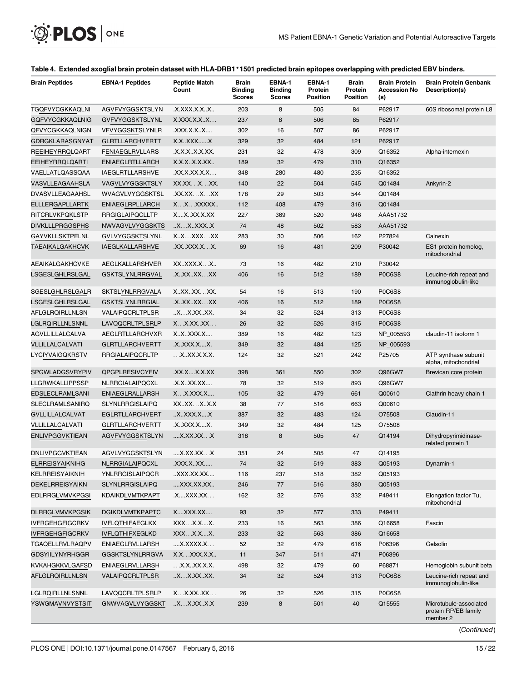# <span id="page-17-0"></span>O PLOS ONE

#### [Table 4.](#page-13-0) Extended axoglial brain protein dataset with HLA-DRB1\*1501 predicted brain epitopes overlapping with predicted EBV binders.

| <b>Brain Peptides</b>  | <b>EBNA-1 Peptides</b> | <b>Peptide Match</b><br>Count | <b>Brain</b><br><b>Binding</b><br><b>Scores</b> | EBNA-1<br><b>Binding</b><br><b>Scores</b> | EBNA-1<br>Protein<br><b>Position</b> | <b>Brain</b><br>Protein<br><b>Position</b> | <b>Brain Protein</b><br><b>Accession No</b><br>(s) | <b>Brain Protein Genbank</b><br>Description(s)             |
|------------------------|------------------------|-------------------------------|-------------------------------------------------|-------------------------------------------|--------------------------------------|--------------------------------------------|----------------------------------------------------|------------------------------------------------------------|
| TGQFVYCGKKAQLNI        | AGVFVYGGSKTSLYN        | .X.XXX.X.XX                   | 203                                             | 8                                         | 505                                  | 84                                         | P62917                                             | 60S ribosomal protein L8                                   |
| GQFVYCGKKAQLNIG        | <b>GVFVYGGSKTSLYNL</b> | X.XXX.X.XX                    | 237                                             | 8                                         | 506                                  | 85                                         | P62917                                             |                                                            |
| QFVYCGKKAQLNIGN        | VFVYGGSKTSLYNLR        | .XXX.X.XX                     | 302                                             | 16                                        | 507                                  | 86                                         | P62917                                             |                                                            |
| GDRGKLARASGNYAT        | <b>GLRTLLARCHVERTT</b> | X.XXXXX                       | 329                                             | 32                                        | 484                                  | 121                                        | P62917                                             |                                                            |
| <b>REEIHEYRRQLQART</b> | <b>FENIAEGLRVLLARS</b> | .X.X.XX.X.XX.                 | 231                                             | 32                                        | 478                                  | 309                                        | Q16352                                             | Alpha-internexin                                           |
| <b>EEIHEYRRQLQARTI</b> | <b>ENIAEGLRTLLARCH</b> | X.X.XX.X.XX                   | 189                                             | 32                                        | 479                                  | 310                                        | Q16352                                             |                                                            |
| VAELLATLQASSQAA        | <b>IAEGLRTLLARSHVE</b> | .XX.X.XX.X.X.                 | 348                                             | 280                                       | 480                                  | 235                                        | Q16352                                             |                                                            |
| VASVLLEAGAAHSLA        | VAGVLVYGGSKTSLY        | XX.XXXXX.                     | 140                                             | 22                                        | 504                                  | 545                                        | Q01484                                             | Ankyrin-2                                                  |
| DVASVLLEAGAAHSL        | WVAGVLVYGGSKTSL        | .XX.XXXXX                     | 178                                             | 29                                        | 503                                  | 544                                        | Q01484                                             |                                                            |
| ELLLERGAPLLARTK        | <b>ENIAEGLRPLLARCH</b> | XXXXXXX                       | 112                                             | 408                                       | 479                                  | 316                                        | Q01484                                             |                                                            |
| <b>RITCRLVKPQKLSTP</b> | <b>RRGIGLAIPQCLLTP</b> | XXXX.X.XX                     | 227                                             | 369                                       | 520                                  | 948                                        | AAA51732                                           |                                                            |
| <b>DIVKLLLPRGGSPHS</b> | NWVAGVLVYGGSKTS        | X.XXXXX                       | 74                                              | 48                                        | 502                                  | 583                                        | AAA51732                                           |                                                            |
| GAYVKLLSKTPELNL        | GVLVYGGSKTSLYNL        | XX. XXX. XX                   | 283                                             | 30                                        | 506                                  | 162                                        | P27824                                             | Calnexin                                                   |
| TAEAIKALGAKHCVK        | <b>IAEGLKALLARSHVE</b> | .XXXXX.X.X.                   | 69                                              | 16                                        | 481                                  | 209                                        | P30042                                             | ES1 protein homolog,<br>mitochondrial                      |
| AEAIKALGAKHCVKE        | AEGLKALLARSHVER        | XXXXX.XX                      | 73                                              | 16                                        | 482                                  | 210                                        | P30042                                             |                                                            |
| LSGESLGHLRSLGAL        | <b>GSKTSLYNLRRGVAL</b> | .XXXXXXX                      | 406                                             | 16                                        | 512                                  | 189                                        | <b>P0C6S8</b>                                      | Leucine-rich repeat and<br>immunoglobulin-like             |
| SGESLGHLRSLGALR        | <b>SKTSLYNLRRGVALA</b> | X.XX.XX.XX.                   | 54                                              | 16                                        | 513                                  | 190                                        | <b>P0C6S8</b>                                      |                                                            |
| LSGESLGHLRSLGAL        | <b>GSKTSLYNLRRGIAL</b> | .XXXXX.XX                     | 406                                             | 16                                        | 512                                  | 189                                        | <b>P0C6S8</b>                                      |                                                            |
| AFLGLRQIRLLNLSN        | VALAIPQCRLTPLSR        | X.X.XXXX.                     | 34                                              | 32                                        | 524                                  | 313                                        | <b>P0C6S8</b>                                      |                                                            |
| LGLRQIRLLNLSNNL        | LAVQQCRLTPLSRLP        | X. X. XX. . XX.               | 26                                              | 32                                        | 526                                  | 315                                        | <b>P0C6S8</b>                                      |                                                            |
| AGVLLILLALCALVA        | AEGLRTLLARCHVXR        | XXXXX.X                       | 389                                             | 16                                        | 482                                  | 123                                        | NP_005593                                          | claudin-11 isoform 1                                       |
| VLLILLALCALVATI        | <b>GLRTLLARCHVERTT</b> | .XXXX.XX.                     | 349                                             | 32                                        | 484                                  | 125                                        | NP_005593                                          |                                                            |
| LYCIYVAIGQKRSTV        | <b>RRGIALAIPQCRLTP</b> | XXX.X.X.X.                    | 124                                             | 32                                        | 521                                  | 242                                        | P25705                                             | ATP synthase subunit<br>alpha, mitochondrial               |
| SPGWLADGSVRYPIV        | <b>QPGPLRESIVCYFIV</b> | XX.XX.X.XX.                   | 398                                             | 361                                       | 550                                  | 302                                        | Q96GW7                                             | Brevican core protein                                      |
| LLGRWKALLIPPSSP        | NLRRGIALAIPQCXL        | .X.XXX.XX                     | 78                                              | 32                                        | 519                                  | 893                                        | Q96GW7                                             |                                                            |
| EDSLECLRAMLSANI        | <b>ENIAEGLRALLARSH</b> | XX.XXX.X                      | 105                                             | 32                                        | 479                                  | 661                                        | Q00610                                             | Clathrin heavy chain 1                                     |
| SLECLRAMLSANIRQ        | <b>SLYNLRRGISLAIPQ</b> | XXXXXX.X                      | 38                                              | 77                                        | 516                                  | 663                                        | Q00610                                             |                                                            |
| <b>GVLLILLALCALVAT</b> | <b>EGLRTLLARCHVERT</b> | .X.XXXX.XX                    | 387                                             | 32                                        | 483                                  | 124                                        | O75508                                             | Claudin-11                                                 |
| VLLILLALCALVATI        | <b>GLRTLLARCHVERTT</b> | .XXXX.XX.                     | 349                                             | 32                                        | 484                                  | 125                                        | O75508                                             |                                                            |
| <b>ENLIVPGGVKTIEAN</b> | AGVFVYGGSKTSLYN        | X.XX.XX.X                     | 318                                             | 8                                         | 505                                  | 47                                         | Q14194                                             | Dihydropyrimidinase-<br>related protein 1                  |
| DNLIVPGGVKTIEAN        | AGVLVYGGSKTSLYN        | X.XX.XX.X                     | 351                                             | 24                                        | 505                                  | 47                                         | Q14195                                             |                                                            |
| <b>ELRREISYAIKNIHG</b> | NLRRGIALAIPQCXL        | .XXX.XXX                      | 74                                              | 32                                        | 519                                  | 383                                        | Q05193                                             | Dynamin-1                                                  |
| KELRREISYAIKNIH        | <b>YNLRRGISLAIPQCR</b> | XXX.XX.XX                     | 116                                             | 237                                       | 518                                  | 382                                        | Q05193                                             |                                                            |
| DEKELRREISYAIKN        | <b>SLYNLRRGISLAIPQ</b> | XXX.XX.XX                     | 246                                             | 77                                        | 516                                  | 380                                        | Q05193                                             |                                                            |
| <b>EDLRRGLVMVKPGSI</b> | <b>KDAIKDLVMTKPAPT</b> | .XXXX.XX                      | 162                                             | 32                                        | 576                                  | 332                                        | P49411                                             | Elongation factor Tu,<br>mitochondrial                     |
| <b>DLRRGLVMVKPGSIK</b> | <b>DGIKDLVMTKPAPTC</b> | XXXX.XX                       | 93                                              | 32                                        | 577                                  | 333                                        | P49411                                             |                                                            |
| <b>IVFRGEHGFIGCRKV</b> | <b>IVFLQTHIFAEGLKX</b> | XXXX.XX.                      | 233                                             | 16                                        | 563                                  | 386                                        | Q16658                                             | Fascin                                                     |
| <b>IVFRGEHGFIGCRKV</b> | <b>IVFLQTHIFXEGLKD</b> | XXXX.XX.                      | 233                                             | 32                                        | 563                                  | 386                                        | Q16658                                             |                                                            |
| <b>TGAQELLRVLRAQPV</b> | <b>ENIAEGLRVLLARSH</b> | X.XXXX.X.                     | 52                                              | 32                                        | 479                                  | 616                                        | P06396                                             | Gelsolin                                                   |
| <b>GDSYIILYNYRHGGR</b> | <b>GGSKTSLYNLRRGVA</b> | X.X. XXX.X.X                  | 11                                              | 347                                       | 511                                  | 471                                        | P06396                                             |                                                            |
| KVKAHGKKVLGAFSD        | <b>ENIAEGLRVLLARSH</b> | .X.XXX.X.X.                   | 498                                             | 32                                        | 479                                  | 60                                         | P68871                                             | Hemoglobin subunit beta                                    |
| AFLGLRQIRLLNLSN        | VALAIPQCRLTPLSR        | X.X.XXXX.                     | 34                                              | 32                                        | 524                                  | 313                                        | <b>P0C6S8</b>                                      | Leucine-rich repeat and<br>immunoglobulin-like             |
| LGLRQIRLLNLSNNL        | LAVQQCRLTPLSRLP        | X. X. X. X. X.                | 26                                              | 32                                        | 526                                  | 315                                        | <b>P0C6S8</b>                                      |                                                            |
| YSWGMAVNVYSTSIT        | GNWVAGVLVYGGSKT        | .X. X.X.X. X.X. X. X.         | 239                                             | 8                                         | 501                                  | 40                                         | Q15555                                             | Microtubule-associated<br>protein RP/EB family<br>member 2 |
|                        |                        |                               |                                                 |                                           |                                      |                                            |                                                    | (Continued)                                                |

PLOS ONE | DOI:10.1371/journal.pone.0147567 February 5, 2016 15/22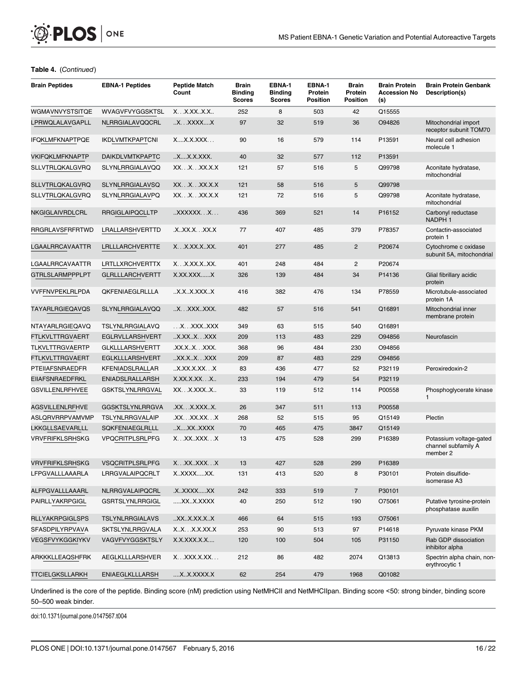

#### Table 4. (Continued)

| <b>Brain Peptides</b>  | <b>EBNA-1 Peptides</b> | <b>Peptide Match</b><br>Count | Brain<br><b>Binding</b><br><b>Scores</b> | EBNA-1<br><b>Binding</b><br><b>Scores</b> | EBNA-1<br>Protein<br><b>Position</b> | <b>Brain</b><br>Protein<br><b>Position</b> | <b>Brain Protein</b><br>Accession No<br>(s) | <b>Brain Protein Genbank</b><br>Description(s)             |
|------------------------|------------------------|-------------------------------|------------------------------------------|-------------------------------------------|--------------------------------------|--------------------------------------------|---------------------------------------------|------------------------------------------------------------|
| WGMAVNVYSTSITQE        | WVAGVFVYGGSKTSL        | X. X. X. X. X. X. .           | 252                                      | 8                                         | 503                                  | 42                                         | Q15555                                      |                                                            |
| LPRWQLALAVGAPLL        | NLRRGIALAVQQCRL        | .X. XXXX. X                   | 97                                       | 32                                        | 519                                  | 36                                         | O94826                                      | Mitochondrial import<br>receptor subunit TOM70             |
| <b>IFQKLMFKNAPTPQE</b> | <b>IKDLVMTKPAPTCNI</b> | XX.X.XXX                      | 90                                       | 16                                        | 579                                  | 114                                        | P13591                                      | Neural cell adhesion<br>molecule 1                         |
| VKIFQKLMFKNAPTP        | <b>DAIKDLVMTKPAPTC</b> | XX.X.XXX.                     | 40                                       | 32                                        | 577                                  | 112                                        | P13591                                      |                                                            |
| SLLVTRLQKALGVRQ        | <b>SLYNLRRGIALAVQQ</b> | XXXXX.X.X                     | 121                                      | 57                                        | 516                                  | 5                                          | Q99798                                      | Aconitate hydratase,<br>mitochondrial                      |
| <b>SLLVTRLQKALGVRQ</b> | <b>SLYNLRRGIALAVSQ</b> | XXXXX.X.X                     | 121                                      | 58                                        | 516                                  | $\sqrt{5}$                                 | Q99798                                      |                                                            |
| SLLVTRLQKALGVRQ        | SLYNLRRGIALAVPQ        | XXXXX.X.X                     | 121                                      | 72                                        | 516                                  | 5                                          | Q99798                                      | Aconitate hydratase,<br>mitochondrial                      |
| NKGIGLAIVRDLCRL        | <b>RRGIGLAIPQCLLTP</b> | $.$ XXXXXX $.$ $.$ $X$        | 436                                      | 369                                       | 521                                  | 14                                         | P16152                                      | Carbonyl reductase<br>NADPH <sub>1</sub>                   |
| RRGRLAVSFRFRTWD        | LRALLARSHVERTTD        | .XXX.X. XX.X                  | 77                                       | 407                                       | 485                                  | 379                                        | P78357                                      | Contactin-associated<br>protein 1                          |
| LGAALRRCAVAATTR        | LRLLLARCHVERTTE        | XX.XX.XXX.                    | 401                                      | 277                                       | 485                                  | $\overline{2}$                             | P20674                                      | Cytochrome c oxidase<br>subunit 5A, mitochondrial          |
| LGAALRRCAVAATTR        | LRTLLXRCHVERTTX        | XX.XX.XXX.                    | 401                                      | 248                                       | 484                                  | $\overline{c}$                             | P20674                                      |                                                            |
| <b>GTRLSLARMPPPLPT</b> | <b>GLRLLLARCHVERTT</b> | X.XX.XXXX                     | 326                                      | 139                                       | 484                                  | 34                                         | P14136                                      | Glial fibrillary acidic<br>protein                         |
| <b>VVFFNVPEKLRLPDA</b> | <b>QKFENIAEGLRLLLA</b> | X.XX.XXXX                     | 416                                      | 382                                       | 476                                  | 134                                        | P78559                                      | Microtubule-associated<br>protein 1A                       |
| TAYARLRGIEQAVQS        | <b>SLYNLRRGIALAVQQ</b> | X. XXX. . XXX.                | 482                                      | 57                                        | 516                                  | 541                                        | Q16891                                      | Mitochondrial inner<br>membrane protein                    |
| NTAYARLRGIEQAVQ        | <b>TSLYNLRRGIALAVQ</b> | .X.XXXXXX                     | 349                                      | 63                                        | 515                                  | 540                                        | Q16891                                      |                                                            |
| FTLKVLTTRGVAERT        | EGLRVLLARSHVERT        | X.XXX. XXX                    | 209                                      | 113                                       | 483                                  | 229                                        | O94856                                      | Neurofascin                                                |
| <b>TLKVLTTRGVAERTP</b> | <b>GLKLLLARSHVERTT</b> | .XX.XX. XXX.                  | 368                                      | 96                                        | 484                                  | 230                                        | O94856                                      |                                                            |
| FTLKVLTTRGVAERT        | EGLKLLLARSHVERT        | XX.XX.XXX                     | 209                                      | 87                                        | 483                                  | 229                                        | O94856                                      |                                                            |
| PTEIIAFSNRAEDFR        | KFENIADSLRALLAR        | X.XX.X.XX.X                   | 83                                       | 436                                       | 477                                  | 52                                         | P32119                                      | Peroxiredoxin-2                                            |
| EIIAFSNRAEDFRKL        | <b>ENIADSLRALLARSH</b> | X.XX.X.XXX                    | 233                                      | 194                                       | 479                                  | 54                                         | P32119                                      |                                                            |
| <b>GSVILLENLRFHVEE</b> | <b>GSKTSLYNLRRGVAL</b> | XXX.XXXX                      | 33                                       | 119                                       | 512                                  | 114                                        | P00558                                      | Phosphoglycerate kinase<br>1                               |
| <b>AGSVILLENLRFHVE</b> | <b>GGSKTSLYNLRRGVA</b> | .XX. X. XXX. . X.             | 26                                       | 347                                       | 511                                  | 113                                        | P00558                                      |                                                            |
| ASLQRVRRPVAMVMP        | TSLYNLRRGVALAIP        | .XX. XX.XX. X                 | 268                                      | 52                                        | 515                                  | 95                                         | Q15149                                      | Plectin                                                    |
| LKKGLLSAEVARLLL        | SQKFENIAEGLRLLL        | XXXXXXX                       | 70                                       | 465                                       | 475                                  | 3847                                       | Q15149                                      |                                                            |
| <b>VRVFRIFKLSRHSKG</b> | <b>VPQCRITPLSRLPFG</b> | XXXXXXX                       | 13                                       | 475                                       | 528                                  | 299                                        | P16389                                      | Potassium voltage-gated<br>channel subfamily A<br>member 2 |
| <b>VRVFRIFKLSRHSKG</b> | <b>VSQCRITPLSRLPFG</b> | X. XX XXX. X                  | 13                                       | 427                                       | 528                                  | 299                                        | P16389                                      |                                                            |
| LFPGVALLLAAARLA        | LRRGVALAIPQCRLT        | XXXXXXX.                      | 131                                      | 413                                       | 520                                  | 8                                          | P30101                                      | Protein disulfide-<br>isomerase A3                         |
| ALFPGVALLLAAARL        | NLRRGVALAIPQCRL        | .XXXXXXX                      | 242                                      | 333                                       | 519                                  | $\overline{7}$                             | P30101                                      |                                                            |
| PAIRLLYAKRPGIGL        | <b>GSRTSLYNLRRGIGL</b> | XXX.XXXX                      | 40                                       | 250                                       | 512                                  | 190                                        | 075061                                      | Putative tyrosine-protein<br>phosphatase auxilin           |
| <b>RLLYAKRPGIGLSPS</b> | <b>TSLYNLRRGIALAVS</b> | .XX.X.XX.X.X.                 | 466                                      | 64                                        | 515                                  | 193                                        | O75061                                      |                                                            |
| SFASDPILYRPVAVA        | SKTSLYNLRRGVALA        | XX.X.X.XX.X                   | 253                                      | 90                                        | 513                                  | 97                                         | P14618                                      | Pyruvate kinase PKM                                        |
| VEGSFVYKGGKIYKV        | VAGVFVYGGSKTSLY        | X.X.XXX.X.X                   | 120                                      | 100                                       | 504                                  | 105                                        | P31150                                      | Rab GDP dissociation<br>inhibitor alpha                    |
| ARKKKLLEAQSHFRK        | AEGLKLLLARSHVER        | X. XXX. X. XX.                | 212                                      | 86                                        | 482                                  | 2074                                       | Q13813                                      | Spectrin alpha chain, non-<br>erythrocytic 1               |
| TTCIELGKSLLARKH        | <b>ENIAEGLKLLLARSH</b> | X.X.XXXX.X                    | 62                                       | 254                                       | 479                                  | 1968                                       | Q01082                                      |                                                            |

Underlined is the core of the peptide. Binding score (nM) prediction using NetMHCII and NetMHCIIpan. Binding score <50: strong binder, binding score 50–500 weak binder.

doi:10.1371/journal.pone.0147567.t004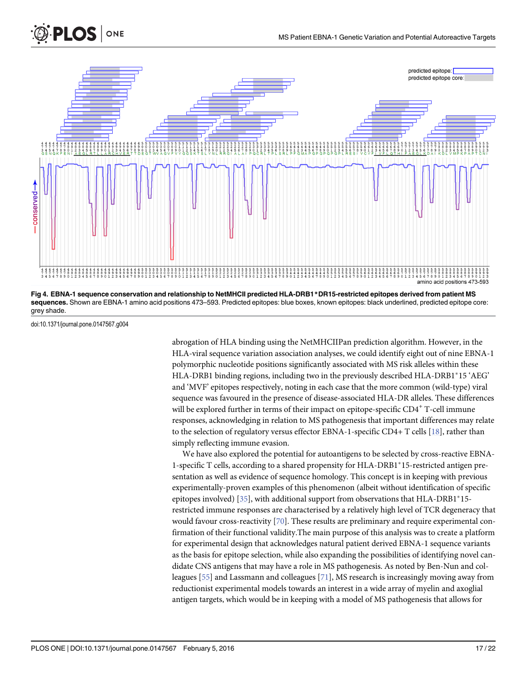<span id="page-19-0"></span>



[Fig 4. E](#page-16-0)BNA-1 sequence conservation and relationship to NetMHCII predicted HLA-DRB1\*DR15-restricted epitopes derived from patient MS sequences. Shown are EBNA-1 amino acid positions 473–593. Predicted epitopes: blue boxes, known epitopes: black underlined, predicted epitope core: grey shade.

doi:10.1371/journal.pone.0147567.g004

abrogation of HLA binding using the NetMHCIIPan prediction algorithm. However, in the HLA-viral sequence variation association analyses, we could identify eight out of nine EBNA-1 polymorphic nucleotide positions significantly associated with MS risk alleles within these HLA-DRB1 binding regions, including two in the previously described HLA-DRB1\*15 'AEG' and 'MVF' epitopes respectively, noting in each case that the more common (wild-type) viral sequence was favoured in the presence of disease-associated HLA-DR alleles. These differences will be explored further in terms of their impact on epitope-specific  $CD4^+$  T-cell immune responses, acknowledging in relation to MS pathogenesis that important differences may relate to the selection of regulatory versus effector EBNA-1-specific CD4+ T cells [\[18\]](#page-21-0), rather than simply reflecting immune evasion.

We have also explored the potential for autoantigens to be selected by cross-reactive EBNA-1-specific T cells, according to a shared propensity for HLA-DRB1\*15-restricted antigen presentation as well as evidence of sequence homology. This concept is in keeping with previous experimentally-proven examples of this phenomenon (albeit without identification of specific epitopes involved) [\[35\]](#page-22-0), with additional support from observations that  $HLA-DRB1*15$ restricted immune responses are characterised by a relatively high level of TCR degeneracy that would favour cross-reactivity  $[70]$  $[70]$ . These results are preliminary and require experimental confirmation of their functional validity.The main purpose of this analysis was to create a platform for experimental design that acknowledges natural patient derived EBNA-1 sequence variants as the basis for epitope selection, while also expanding the possibilities of identifying novel candidate CNS antigens that may have a role in MS pathogenesis. As noted by Ben-Nun and colleagues [\[55\]](#page-23-0) and Lassmann and colleagues [[71](#page-24-0)], MS research is increasingly moving away from reductionist experimental models towards an interest in a wide array of myelin and axoglial antigen targets, which would be in keeping with a model of MS pathogenesis that allows for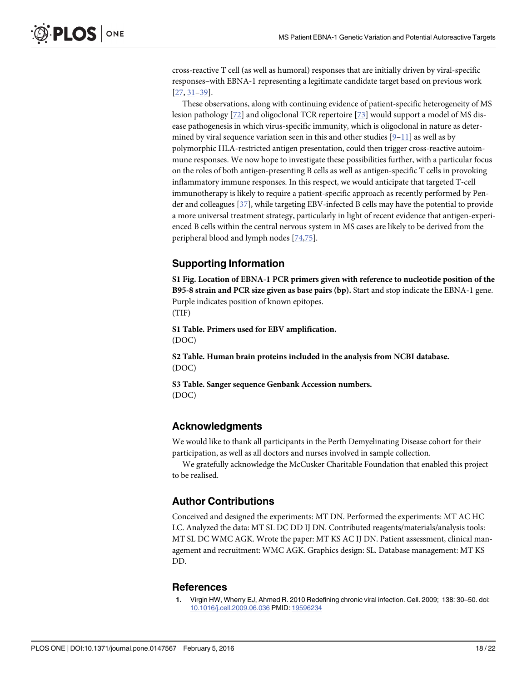<span id="page-20-0"></span>cross-reactive T cell (as well as humoral) responses that are initially driven by viral-specific responses–with EBNA-1 representing a legitimate candidate target based on previous work  $[27, 31-39]$  $[27, 31-39]$  $[27, 31-39]$  $[27, 31-39]$  $[27, 31-39]$ .

These observations, along with continuing evidence of patient-specific heterogeneity of MS lesion pathology [[72](#page-24-0)] and oligoclonal TCR repertoire [\[73\]](#page-24-0) would support a model of MS disease pathogenesis in which virus-specific immunity, which is oligoclonal in nature as determined by viral sequence variation seen in this and other studies  $[9-11]$  $[9-11]$  $[9-11]$  $[9-11]$  $[9-11]$  as well as by polymorphic HLA-restricted antigen presentation, could then trigger cross-reactive autoimmune responses. We now hope to investigate these possibilities further, with a particular focus on the roles of both antigen-presenting B cells as well as antigen-specific T cells in provoking inflammatory immune responses. In this respect, we would anticipate that targeted T-cell immunotherapy is likely to require a patient-specific approach as recently performed by Pender and colleagues [\[37](#page-22-0)], while targeting EBV-infected B cells may have the potential to provide a more universal treatment strategy, particularly in light of recent evidence that antigen-experienced B cells within the central nervous system in MS cases are likely to be derived from the peripheral blood and lymph nodes [\[74,75\]](#page-24-0).

#### Supporting Information

[S1 Fig.](http://www.plosone.org/article/fetchSingleRepresentation.action?uri=info:doi/10.1371/journal.pone.0147567.s001) Location of EBNA-1 PCR primers given with reference to nucleotide position of the B95-8 strain and PCR size given as base pairs (bp). Start and stop indicate the EBNA-1 gene. Purple indicates position of known epitopes. (TIF)

[S1 Table](http://www.plosone.org/article/fetchSingleRepresentation.action?uri=info:doi/10.1371/journal.pone.0147567.s002). Primers used for EBV amplification. (DOC)

[S2 Table](http://www.plosone.org/article/fetchSingleRepresentation.action?uri=info:doi/10.1371/journal.pone.0147567.s003). Human brain proteins included in the analysis from NCBI database. (DOC)

[S3 Table](http://www.plosone.org/article/fetchSingleRepresentation.action?uri=info:doi/10.1371/journal.pone.0147567.s004). Sanger sequence Genbank Accession numbers. (DOC)

#### Acknowledgments

We would like to thank all participants in the Perth Demyelinating Disease cohort for their participation, as well as all doctors and nurses involved in sample collection.

We gratefully acknowledge the McCusker Charitable Foundation that enabled this project to be realised.

#### Author Contributions

Conceived and designed the experiments: MT DN. Performed the experiments: MT AC HC LC. Analyzed the data: MT SL DC DD IJ DN. Contributed reagents/materials/analysis tools: MT SL DC WMC AGK. Wrote the paper: MT KS AC IJ DN. Patient assessment, clinical management and recruitment: WMC AGK. Graphics design: SL. Database management: MT KS DD.

#### **References**

[1.](#page-4-0) Virgin HW, Wherry EJ, Ahmed R. 2010 Redefining chronic viral infection. Cell. 2009; 138: 30–50. doi: [10.1016/j.cell.2009.06.036](http://dx.doi.org/10.1016/j.cell.2009.06.036) PMID: [19596234](http://www.ncbi.nlm.nih.gov/pubmed/19596234)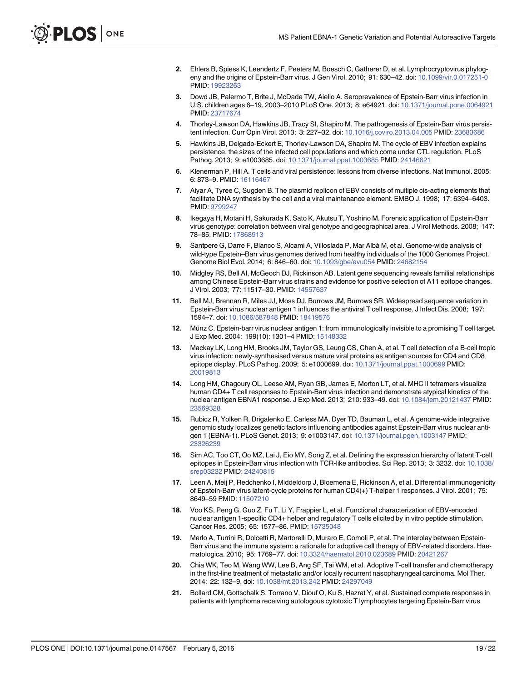- <span id="page-21-0"></span>[2.](#page-4-0) Ehlers B, Spiess K, Leendertz F, Peeters M, Boesch C, Gatherer D, et al. Lymphocryptovirus phylogeny and the origins of Epstein-Barr virus. J Gen Virol. 2010; 91: 630–42. doi: [10.1099/vir.0.017251-0](http://dx.doi.org/10.1099/vir.0.017251-0) PMID: [19923263](http://www.ncbi.nlm.nih.gov/pubmed/19923263)
- [3.](#page-4-0) Dowd JB, Palermo T, Brite J, McDade TW, Aiello A. Seroprevalence of Epstein-Barr virus infection in U.S. children ages 6–19, 2003–2010 PLoS One. 2013; 8: e64921. doi: [10.1371/journal.pone.0064921](http://dx.doi.org/10.1371/journal.pone.0064921) PMID: [23717674](http://www.ncbi.nlm.nih.gov/pubmed/23717674)
- [4.](#page-4-0) Thorley-Lawson DA, Hawkins JB, Tracy SI, Shapiro M. The pathogenesis of Epstein-Barr virus persistent infection. Curr Opin Virol. 2013; 3: 227–32. doi: [10.1016/j.coviro.2013.04.005](http://dx.doi.org/10.1016/j.coviro.2013.04.005) PMID: [23683686](http://www.ncbi.nlm.nih.gov/pubmed/23683686)
- [5.](#page-4-0) Hawkins JB, Delgado-Eckert E, Thorley-Lawson DA, Shapiro M. The cycle of EBV infection explains persistence, the sizes of the infected cell populations and which come under CTL regulation. PLoS Pathog. 2013; 9: e1003685. doi: [10.1371/journal.ppat.1003685](http://dx.doi.org/10.1371/journal.ppat.1003685) PMID: [24146621](http://www.ncbi.nlm.nih.gov/pubmed/24146621)
- [6.](#page-4-0) Klenerman P, Hill A. T cells and viral persistence: lessons from diverse infections. Nat Immunol. 2005; 6: 873–9. PMID: [16116467](http://www.ncbi.nlm.nih.gov/pubmed/16116467)
- [7.](#page-4-0) Aiyar A, Tyree C, Sugden B. The plasmid replicon of EBV consists of multiple cis-acting elements that facilitate DNA synthesis by the cell and a viral maintenance element. EMBO J. 1998; 17: 6394–6403. PMID: [9799247](http://www.ncbi.nlm.nih.gov/pubmed/9799247)
- [8.](#page-4-0) Ikegaya H, Motani H, Sakurada K, Sato K, Akutsu T, Yoshino M. Forensic application of Epstein-Barr virus genotype: correlation between viral genotype and geographical area. J Virol Methods. 2008; 147: 78–85. PMID: [17868913](http://www.ncbi.nlm.nih.gov/pubmed/17868913)
- [9.](#page-4-0) Santpere G, Darre F, Blanco S, Alcami A, Villoslada P, Mar Albà M, et al. Genome-wide analysis of wild-type Epstein–Barr virus genomes derived from healthy individuals of the 1000 Genomes Project. Genome Biol Evol. 2014; 6: 846–60. doi: [10.1093/gbe/evu054](http://dx.doi.org/10.1093/gbe/evu054) PMID: [24682154](http://www.ncbi.nlm.nih.gov/pubmed/24682154)
- [10.](#page-4-0) Midgley RS, Bell AI, McGeoch DJ, Rickinson AB. Latent gene sequencing reveals familial relationships among Chinese Epstein-Barr virus strains and evidence for positive selection of A11 epitope changes. J Virol. 2003; 77: 11517–30. PMID: [14557637](http://www.ncbi.nlm.nih.gov/pubmed/14557637)
- [11.](#page-4-0) Bell MJ, Brennan R, Miles JJ, Moss DJ, Burrows JM, Burrows SR. Widespread sequence variation in Epstein-Barr virus nuclear antigen 1 influences the antiviral T cell response. J Infect Dis. 2008; 197: 1594–7. doi: [10.1086/587848](http://dx.doi.org/10.1086/587848) PMID: [18419576](http://www.ncbi.nlm.nih.gov/pubmed/18419576)
- [12.](#page-4-0) Münz C. Epstein-barr virus nuclear antigen 1: from immunologically invisible to a promising T cell target. J Exp Med. 2004; 199(10): 1301–4 PMID: [15148332](http://www.ncbi.nlm.nih.gov/pubmed/15148332)
- [13.](#page-4-0) Mackay LK, Long HM, Brooks JM, Taylor GS, Leung CS, Chen A, et al. T cell detection of a B-cell tropic virus infection: newly-synthesised versus mature viral proteins as antigen sources for CD4 and CD8 epitope display. PLoS Pathog. 2009; 5: e1000699. doi: [10.1371/journal.ppat.1000699](http://dx.doi.org/10.1371/journal.ppat.1000699) PMID: [20019813](http://www.ncbi.nlm.nih.gov/pubmed/20019813)
- [14.](#page-4-0) Long HM, Chagoury OL, Leese AM, Ryan GB, James E, Morton LT, et al. MHC II tetramers visualize human CD4+ T cell responses to Epstein-Barr virus infection and demonstrate atypical kinetics of the nuclear antigen EBNA1 response. J Exp Med. 2013; 210: 933–49. doi: [10.1084/jem.20121437](http://dx.doi.org/10.1084/jem.20121437) PMID: [23569328](http://www.ncbi.nlm.nih.gov/pubmed/23569328)
- [15.](#page-4-0) Rubicz R, Yolken R, Drigalenko E, Carless MA, Dyer TD, Bauman L, et al. A genome-wide integrative genomic study localizes genetic factors influencing antibodies against Epstein-Barr virus nuclear antigen 1 (EBNA-1). PLoS Genet. 2013; 9: e1003147. doi: [10.1371/journal.pgen.1003147](http://dx.doi.org/10.1371/journal.pgen.1003147) PMID: [23326239](http://www.ncbi.nlm.nih.gov/pubmed/23326239)
- [16.](#page-4-0) Sim AC, Too CT, Oo MZ, Lai J, Eio MY, Song Z, et al. Defining the expression hierarchy of latent T-cell epitopes in Epstein-Barr virus infection with TCR-like antibodies. Sci Rep. 2013; 3: 3232. doi: [10.1038/](http://dx.doi.org/10.1038/srep03232) [srep03232](http://dx.doi.org/10.1038/srep03232) PMID: [24240815](http://www.ncbi.nlm.nih.gov/pubmed/24240815)
- 17. Leen A, Meij P, Redchenko I, Middeldorp J, Bloemena E, Rickinson A, et al. Differential immunogenicity of Epstein-Barr virus latent-cycle proteins for human CD4(+) T-helper 1 responses. J Virol. 2001; 75: 8649–59 PMID: [11507210](http://www.ncbi.nlm.nih.gov/pubmed/11507210)
- [18.](#page-4-0) Voo KS, Peng G, Guo Z, Fu T, Li Y, Frappier L, et al. Functional characterization of EBV-encoded nuclear antigen 1-specific CD4+ helper and regulatory T cells elicited by in vitro peptide stimulation. Cancer Res. 2005; 65: 1577–86. PMID: [15735048](http://www.ncbi.nlm.nih.gov/pubmed/15735048)
- [19.](#page-4-0) Merlo A, Turrini R, Dolcetti R, Martorelli D, Muraro E, Comoli P, et al. The interplay between Epstein-Barr virus and the immune system: a rationale for adoptive cell therapy of EBV-related disorders. Haematologica. 2010; 95: 1769–77. doi: [10.3324/haematol.2010.023689](http://dx.doi.org/10.3324/haematol.2010.023689) PMID: [20421267](http://www.ncbi.nlm.nih.gov/pubmed/20421267)
- [20.](#page-4-0) Chia WK, Teo M, Wang WW, Lee B, Ang SF, Tai WM, et al. Adoptive T-cell transfer and chemotherapy in the first-line treatment of metastatic and/or locally recurrent nasopharyngeal carcinoma. Mol Ther. 2014; 22: 132–9. doi: [10.1038/mt.2013.242](http://dx.doi.org/10.1038/mt.2013.242) PMID: [24297049](http://www.ncbi.nlm.nih.gov/pubmed/24297049)
- [21.](#page-4-0) Bollard CM, Gottschalk S, Torrano V, Diouf O, Ku S, Hazrat Y, et al. Sustained complete responses in patients with lymphoma receiving autologous cytotoxic T lymphocytes targeting Epstein-Barr virus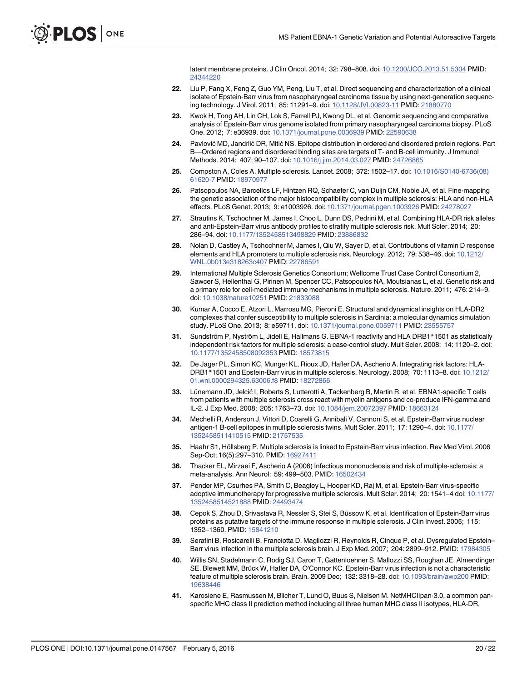latent membrane proteins. J Clin Oncol. 2014; 32: 798–808. doi: [10.1200/JCO.2013.51.5304](http://dx.doi.org/10.1200/JCO.2013.51.5304) PMID: [24344220](http://www.ncbi.nlm.nih.gov/pubmed/24344220)

- <span id="page-22-0"></span>[22.](#page-4-0) Liu P, Fang X, Feng Z, Guo YM, Peng, Liu T, et al. Direct sequencing and characterization of a clinical isolate of Epstein-Barr virus from nasopharyngeal carcinoma tissue by using next-generation sequencing technology. J Virol. 2011; 85: 11291–9. doi: [10.1128/JVI.00823-11](http://dx.doi.org/10.1128/JVI.00823-11) PMID: [21880770](http://www.ncbi.nlm.nih.gov/pubmed/21880770)
- [23.](#page-4-0) Kwok H, Tong AH, Lin CH, Lok S, Farrell PJ, Kwong DL, et al. Genomic sequencing and comparative analysis of Epstein-Barr virus genome isolated from primary nasopharyngeal carcinoma biopsy. PLoS One. 2012; 7: e36939. doi: [10.1371/journal.pone.0036939](http://dx.doi.org/10.1371/journal.pone.0036939) PMID: [22590638](http://www.ncbi.nlm.nih.gov/pubmed/22590638)
- [24.](#page-4-0) Pavlović MD, Jandrlić DR, Mitić NS. Epitope distribution in ordered and disordered protein regions. Part B—Ordered regions and disordered binding sites are targets of T- and B-cell immunity. J Immunol Methods. 2014; 407: 90-107. doi: [10.1016/j.jim.2014.03.027](http://dx.doi.org/10.1016/j.jim.2014.03.027) PMID: [24726865](http://www.ncbi.nlm.nih.gov/pubmed/24726865)
- [25.](#page-5-0) Compston A, Coles A. Multiple sclerosis. Lancet. 2008; 372: 1502–17. doi: [10.1016/S0140-6736\(08\)](http://dx.doi.org/10.1016/S0140-6736(08)61620-7) [61620-7](http://dx.doi.org/10.1016/S0140-6736(08)61620-7) PMID: [18970977](http://www.ncbi.nlm.nih.gov/pubmed/18970977)
- [26.](#page-5-0) Patsopoulos NA, Barcellos LF, Hintzen RQ, Schaefer C, van Duijn CM, Noble JA, et al. Fine-mapping the genetic association of the major histocompatibility complex in multiple sclerosis: HLA and non-HLA effects. PLoS Genet. 2013; 9: e1003926. doi: [10.1371/journal.pgen.1003926](http://dx.doi.org/10.1371/journal.pgen.1003926) PMID: [24278027](http://www.ncbi.nlm.nih.gov/pubmed/24278027)
- [27.](#page-5-0) Strautins K, Tschochner M, James I, Choo L, Dunn DS, Pedrini M, et al. Combining HLA-DR risk alleles and anti-Epstein-Barr virus antibody profiles to stratify multiple sclerosis risk. Mult Scler. 2014; 20: 286–94. doi: [10.1177/1352458513498829](http://dx.doi.org/10.1177/1352458513498829) PMID: [23886832](http://www.ncbi.nlm.nih.gov/pubmed/23886832)
- [28.](#page-5-0) Nolan D, Castley A, Tschochner M, James I, Qiu W, Sayer D, et al. Contributions of vitamin D response elements and HLA promoters to multiple sclerosis risk. Neurology. 2012; 79: 538–46. doi: [10.1212/](http://dx.doi.org/10.1212/WNL.0b013e318263c407) [WNL.0b013e318263c407](http://dx.doi.org/10.1212/WNL.0b013e318263c407) PMID: [22786591](http://www.ncbi.nlm.nih.gov/pubmed/22786591)
- [29.](#page-5-0) International Multiple Sclerosis Genetics Consortium; Wellcome Trust Case Control Consortium 2, Sawcer S, Hellenthal G, Pirinen M, Spencer CC, Patsopoulos NA, Moutsianas L, et al. Genetic risk and a primary role for cell-mediated immune mechanisms in multiple sclerosis. Nature. 2011; 476: 214–9. doi: [10.1038/nature10251](http://dx.doi.org/10.1038/nature10251) PMID: [21833088](http://www.ncbi.nlm.nih.gov/pubmed/21833088)
- [30.](#page-5-0) Kumar A, Cocco E, Atzori L, Marrosu MG, Pieroni E. Structural and dynamical insights on HLA-DR2 complexes that confer susceptibility to multiple sclerosis in Sardinia: a molecular dynamics simulation study. PLoS One. 2013; 8: e59711. doi: [10.1371/journal.pone.0059711](http://dx.doi.org/10.1371/journal.pone.0059711) PMID: [23555757](http://www.ncbi.nlm.nih.gov/pubmed/23555757)
- [31.](#page-5-0) Sundström P, Nyström L, Jidell E, Hallmans G. EBNA-1 reactivity and HLA DRB1\*1501 as statistically independent risk factors for multiple sclerosis: a case-control study. Mult Scler. 2008; 14: 1120–2. doi: [10.1177/1352458508092353](http://dx.doi.org/10.1177/1352458508092353) PMID: [18573815](http://www.ncbi.nlm.nih.gov/pubmed/18573815)
- [32.](#page-5-0) De Jager PL, Simon KC, Munger KL, Rioux JD, Hafler DA, Ascherio A. Integrating risk factors: HLA-DRB1\*1501 and Epstein-Barr virus in multiple sclerosis. Neurology. 2008; 70: 1113–8. doi: [10.1212/](http://dx.doi.org/10.1212/01.wnl.0000294325.63006.f8) [01.wnl.0000294325.63006.f8](http://dx.doi.org/10.1212/01.wnl.0000294325.63006.f8) PMID: [18272866](http://www.ncbi.nlm.nih.gov/pubmed/18272866)
- [33.](#page-5-0) Lünemann JD, Jelcić I, Roberts S, Lutterotti A, Tackenberg B, Martin R, et al. EBNA1-specific T cells from patients with multiple sclerosis cross react with myelin antigens and co-produce IFN-gamma and IL-2. J Exp Med. 2008; 205: 1763–73. doi: [10.1084/jem.20072397](http://dx.doi.org/10.1084/jem.20072397) PMID: [18663124](http://www.ncbi.nlm.nih.gov/pubmed/18663124)
- [34.](#page-5-0) Mechelli R, Anderson J, Vittori D, Coarelli G, Annibali V, Cannoni S, et al. Epstein-Barr virus nuclear antigen-1 B-cell epitopes in multiple sclerosis twins. Mult Scler. 2011; 17: 1290–4. doi: [10.1177/](http://dx.doi.org/10.1177/1352458511410515) [1352458511410515](http://dx.doi.org/10.1177/1352458511410515) PMID: [21757535](http://www.ncbi.nlm.nih.gov/pubmed/21757535)
- [35.](#page-5-0) Haahr S1, Höllsberg P. Multiple sclerosis is linked to Epstein-Barr virus infection. Rev Med Virol. 2006 Sep-Oct; 16(5):297–310. PMID: [16927411](http://www.ncbi.nlm.nih.gov/pubmed/16927411)
- [36.](#page-5-0) Thacker EL, Mirzaei F, Ascherio A (2006) Infectious mononucleosis and risk of multiple-sclerosis: a meta-analysis. Ann Neurol: 59: 499–503. PMID: [16502434](http://www.ncbi.nlm.nih.gov/pubmed/16502434)
- [37.](#page-5-0) Pender MP, Csurhes PA, Smith C, Beagley L, Hooper KD, Raj M, et al. Epstein-Barr virus-specific adoptive immunotherapy for progressive multiple sclerosis. Mult Scler. 2014; 20: 1541–4 doi: [10.1177/](http://dx.doi.org/10.1177/1352458514521888) [1352458514521888](http://dx.doi.org/10.1177/1352458514521888) PMID: [24493474](http://www.ncbi.nlm.nih.gov/pubmed/24493474)
- [38.](#page-5-0) Cepok S, Zhou D, Srivastava R, Nessler S, Stei S, Büssow K, et al. Identification of Epstein-Barr virus proteins as putative targets of the immune response in multiple sclerosis. J Clin Invest. 2005; 115: 1352–1360. PMID: [15841210](http://www.ncbi.nlm.nih.gov/pubmed/15841210)
- [39.](#page-5-0) Serafini B, Rosicarelli B, Franciotta D, Magliozzi R, Reynolds R, Cinque P, et al. Dysregulated Epstein– Barr virus infection in the multiple sclerosis brain. J Exp Med. 2007; 204: 2899–912. PMID: [17984305](http://www.ncbi.nlm.nih.gov/pubmed/17984305)
- [40.](#page-5-0) Willis SN, Stadelmann C, Rodig SJ, Caron T, Gattenloehner S, Mallozzi SS, Roughan JE, Almendinger SE, Blewett MM, Brück W, Hafler DA, O'Connor KC. Epstein-Barr virus infection is not a characteristic feature of multiple sclerosis brain. Brain. 2009 Dec; 132: 3318–28. doi: [10.1093/brain/awp200](http://dx.doi.org/10.1093/brain/awp200) PMID: [19638446](http://www.ncbi.nlm.nih.gov/pubmed/19638446)
- [41.](#page-5-0) Karosiene E, Rasmussen M, Blicher T, Lund O, Buus S, Nielsen M. NetMHCIIpan-3.0, a common panspecific MHC class II prediction method including all three human MHC class II isotypes, HLA-DR,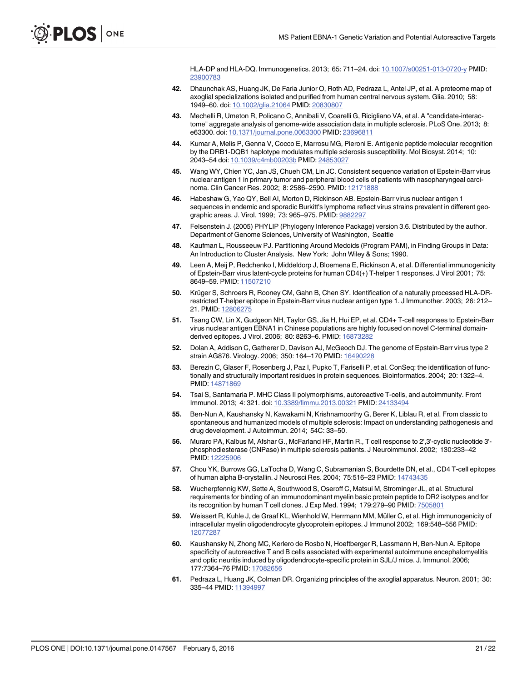HLA-DP and HLA-DQ. Immunogenetics. 2013; 65: 711–24. doi: [10.1007/s00251-013-0720-y](http://dx.doi.org/10.1007/s00251-013-0720-y) PMID: [23900783](http://www.ncbi.nlm.nih.gov/pubmed/23900783)

- <span id="page-23-0"></span>[42.](#page-5-0) Dhaunchak AS, Huang JK, De Faria Junior O, Roth AD, Pedraza L, Antel JP, et al. A proteome map of axoglial specializations isolated and purified from human central nervous system. Glia. 2010; 58: 1949–60. doi: [10.1002/glia.21064](http://dx.doi.org/10.1002/glia.21064) PMID: [20830807](http://www.ncbi.nlm.nih.gov/pubmed/20830807)
- [43.](#page-5-0) Mechelli R, Umeton R, Policano C, Annibali V, Coarelli G, Ricigliano VA, et al. A "candidate-interactome" aggregate analysis of genome-wide association data in multiple sclerosis. PLoS One. 2013; 8: e63300. doi: [10.1371/journal.pone.0063300](http://dx.doi.org/10.1371/journal.pone.0063300) PMID: [23696811](http://www.ncbi.nlm.nih.gov/pubmed/23696811)
- [44.](#page-5-0) Kumar A, Melis P, Genna V, Cocco E, Marrosu MG, Pieroni E. Antigenic peptide molecular recognition by the DRB1-DQB1 haplotype modulates multiple sclerosis susceptibility. Mol Biosyst. 2014; 10: 2043–54 doi: [10.1039/c4mb00203b](http://dx.doi.org/10.1039/c4mb00203b) PMID: [24853027](http://www.ncbi.nlm.nih.gov/pubmed/24853027)
- [45.](#page-6-0) Wang WY, Chien YC, Jan JS, Chueh CM, Lin JC. Consistent sequence variation of Epstein-Barr virus nuclear antigen 1 in primary tumor and peripheral blood cells of patients with nasopharyngeal carcinoma. Clin Cancer Res. 2002; 8: 2586–2590. PMID: [12171888](http://www.ncbi.nlm.nih.gov/pubmed/12171888)
- [46.](#page-6-0) Habeshaw G, Yao QY, Bell AI, Morton D, Rickinson AB. Epstein-Barr virus nuclear antigen 1 sequences in endemic and sporadic Burkitt's lymphoma reflect virus strains prevalent in different geographic areas. J. Virol. 1999; 73: 965–975. PMID: [9882297](http://www.ncbi.nlm.nih.gov/pubmed/9882297)
- [47.](#page-7-0) Felsenstein J. (2005) PHYLIP (Phylogeny Inference Package) version 3.6. Distributed by the author. Department of Genome Sciences, University of Washington, Seattle
- [48.](#page-8-0) Kaufman L, Rousseeuw PJ. Partitioning Around Medoids (Program PAM), in Finding Groups in Data: An Introduction to Cluster Analysis. New York: John Wiley & Sons; 1990.
- [49.](#page-9-0) Leen A, Meij P, Redchenko I, Middeldorp J, Bloemena E, Rickinson A, et al. Differential immunogenicity of Epstein-Barr virus latent-cycle proteins for human CD4(+) T-helper 1 responses. J Virol 2001; 75: 8649–59. PMID: [11507210](http://www.ncbi.nlm.nih.gov/pubmed/11507210)
- 50. Krüger S, Schroers R, Rooney CM, Gahn B, Chen SY. Identification of a naturally processed HLA-DRrestricted T-helper epitope in Epstein-Barr virus nuclear antigen type 1. J Immunother. 2003; 26: 212– 21. PMID: [12806275](http://www.ncbi.nlm.nih.gov/pubmed/12806275)
- [51.](#page-9-0) Tsang CW, Lin X, Gudgeon NH, Taylor GS, Jia H, Hui EP, et al. CD4+ T-cell responses to Epstein-Barr virus nuclear antigen EBNA1 in Chinese populations are highly focused on novel C-terminal domainderived epitopes. J Virol. 2006; 80: 8263–6. PMID: [16873282](http://www.ncbi.nlm.nih.gov/pubmed/16873282)
- [52.](#page-10-0) Dolan A, Addison C, Gatherer D, Davison AJ, McGeoch DJ. The genome of Epstein-Barr virus type 2 strain AG876. Virology. 2006; 350: 164–170 PMID: [16490228](http://www.ncbi.nlm.nih.gov/pubmed/16490228)
- [53.](#page-11-0) Berezin C, Glaser F, Rosenberg J, Paz I, Pupko T, Fariselli P, et al. ConSeq: the identification of functionally and structurally important residues in protein sequences. Bioinformatics. 2004; 20: 1322–4. PMID: [14871869](http://www.ncbi.nlm.nih.gov/pubmed/14871869)
- [54.](#page-12-0) Tsai S, Santamaria P. MHC Class II polymorphisms, autoreactive T-cells, and autoimmunity. Front Immunol. 2013; 4: 321. doi: [10.3389/fimmu.2013.00321](http://dx.doi.org/10.3389/fimmu.2013.00321) PMID: [24133494](http://www.ncbi.nlm.nih.gov/pubmed/24133494)
- [55.](#page-13-0) Ben-Nun A, Kaushansky N, Kawakami N, Krishnamoorthy G, Berer K, Liblau R, et al. From classic to spontaneous and humanized models of multiple sclerosis: Impact on understanding pathogenesis and drug development. J Autoimmun. 2014; 54C: 33–50.
- [56.](#page-16-0) Muraro PA, Kalbus M, Afshar G., McFarland HF, Martin R., T cell response to 2',3'-cyclic nucleotide 3' phosphodiesterase (CNPase) in multiple sclerosis patients. J Neuroimmunol. 2002; 130:233–42 PMID: [12225906](http://www.ncbi.nlm.nih.gov/pubmed/12225906)
- [57.](#page-16-0) Chou YK, Burrows GG, LaTocha D, Wang C, Subramanian S, Bourdette DN, et al., CD4 T-cell epitopes of human alpha B-crystallin. J Neurosci Res. 2004; 75:516–23 PMID: [14743435](http://www.ncbi.nlm.nih.gov/pubmed/14743435)
- [58.](#page-16-0) Wucherpfennig KW, Sette A, Southwood S, Oseroff C, Matsui M, Strominger JL, et al. Structural requirements for binding of an immunodominant myelin basic protein peptide to DR2 isotypes and for its recognition by human T cell clones. J Exp Med. 1994; 179:279-90 PMID: [7505801](http://www.ncbi.nlm.nih.gov/pubmed/7505801)
- [59.](#page-16-0) Weissert R, Kuhle J, de Graaf KL, Wienhold W, Herrmann MM, Müller C, et al. High immunogenicity of intracellular myelin oligodendrocyte glycoprotein epitopes. J Immunol 2002; 169:548–556 PMID: [12077287](http://www.ncbi.nlm.nih.gov/pubmed/12077287)
- [60.](#page-16-0) Kaushansky N, Zhong MC, Kerlero de Rosbo N, Hoeftberger R, Lassmann H, Ben-Nun A. Epitope specificity of autoreactive T and B cells associated with experimental autoimmune encephalomyelitis and optic neuritis induced by oligodendrocyte-specific protein in SJL/J mice. J. Immunol. 2006; 177:7364–76 PMID: [17082656](http://www.ncbi.nlm.nih.gov/pubmed/17082656)
- [61.](#page-13-0) Pedraza L, Huang JK, Colman DR. Organizing principles of the axoglial apparatus. Neuron. 2001; 30: 335-44 PMID: [11394997](http://www.ncbi.nlm.nih.gov/pubmed/11394997)